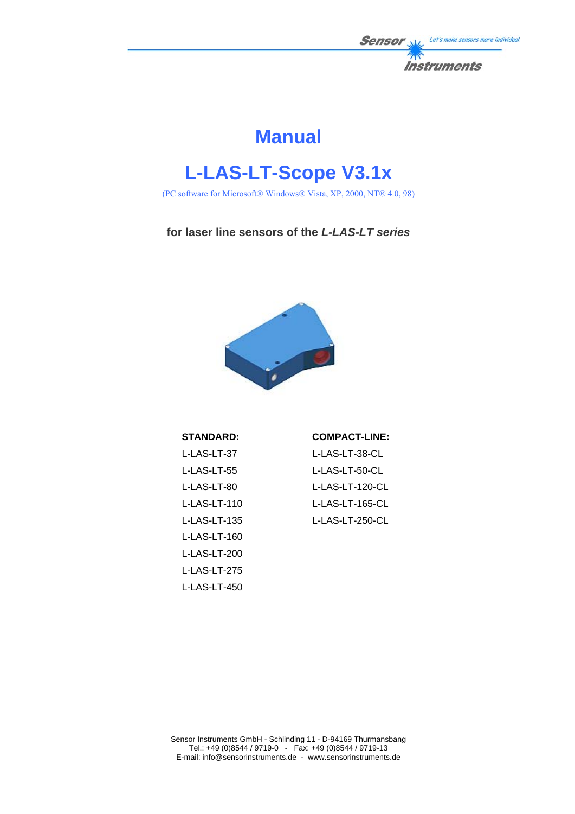

# **Manual**

# **L-LAS-LT-Scope V3.1x**

(PC software for Microsoft® Windows® Vista, XP, 2000, NT® 4.0, 98)

**for laser line sensors of the** *L-LAS-LT series*



#### **STANDARD:**

# **COMPACT-LINE:**

| L-LAS-LT-37  |
|--------------|
| L-LAS-LT-55  |
| L-LAS-LT-80  |
| L-LAS-LT-110 |
| L-LAS-LT-135 |
| L-LAS-LT-160 |
| L-LAS-LT-200 |
| L-LAS-LT-275 |
| L-LAS-LT-450 |

L-LAS-LT-38-CL L-LAS-LT-50-CL L-LAS-LT-120-CL L-LAS-LT-165-CL L-LAS-LT-250-CL

Sensor Instruments GmbH - Schlinding 11 - D-94169 Thurmansbang Tel.: +49 (0)8544 / 9719-0 - Fax: +49 (0)8544 / 9719-13 E-mail: info@sensorinstruments.de - www.sensorinstruments.de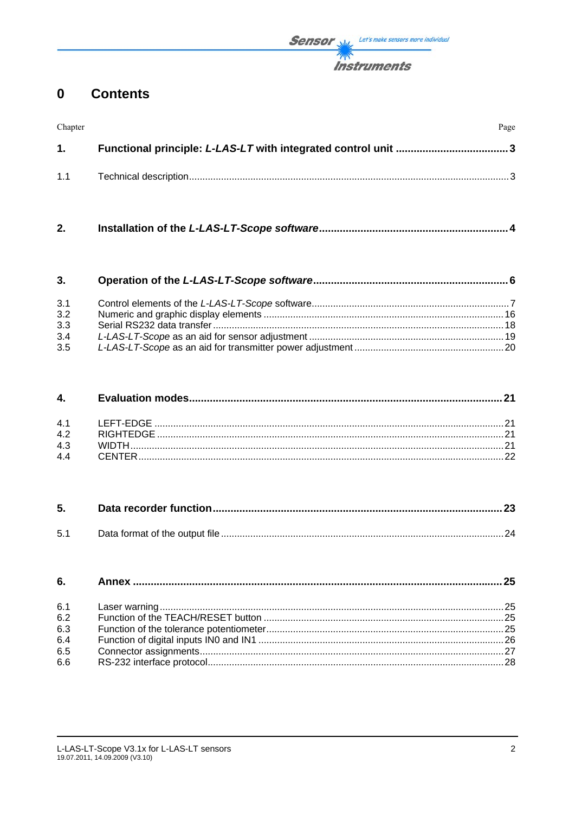#### $\mathbf 0$ **Contents**

| Chapter | Page |
|---------|------|
| 1.      |      |
| 1.1     |      |

 $2.$ 

| 3.  |  |
|-----|--|
| 3.1 |  |
| 3.2 |  |
| 3.3 |  |
| 3.4 |  |
| 3.5 |  |

#### 4.  $4.1$  $4.2$ 4.3  $4.4$

| 5.  |  |
|-----|--|
| 5.1 |  |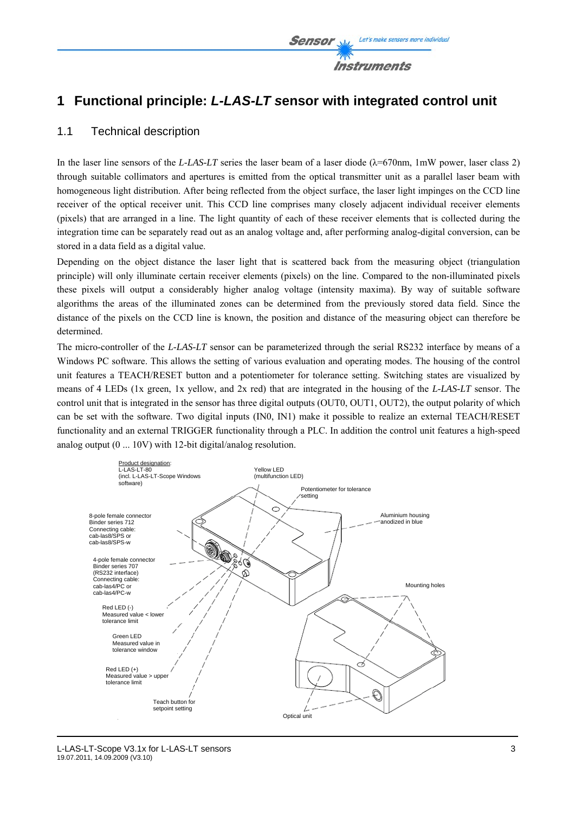

# **1 Functional principle:** *L-LAS-LT s***ensor with integrated control unit**

### 1.1 Technical description

In the laser line sensors of the *L-LAS-LT* series the laser beam of a laser diode  $(\lambda = 670$ nm, 1mW power, laser class 2) through suitable collimators and apertures is emitted from the optical transmitter unit as a parallel laser beam with homogeneous light distribution. After being reflected from the object surface, the laser light impinges on the CCD line receiver of the optical receiver unit. This CCD line comprises many closely adjacent individual receiver elements (pixels) that are arranged in a line. The light quantity of each of these receiver elements that is collected during the integration time can be separately read out as an analog voltage and, after performing analog-digital conversion, can be stored in a data field as a digital value.

Depending on the object distance the laser light that is scattered back from the measuring object (triangulation principle) will only illuminate certain receiver elements (pixels) on the line. Compared to the non-illuminated pixels these pixels will output a considerably higher analog voltage (intensity maxima). By way of suitable software algorithms the areas of the illuminated zones can be determined from the previously stored data field. Since the distance of the pixels on the CCD line is known, the position and distance of the measuring object can therefore be determined.

The micro-controller of the *L-LAS-LT* sensor can be parameterized through the serial RS232 interface by means of a Windows PC software. This allows the setting of various evaluation and operating modes. The housing of the control unit features a TEACH/RESET button and a potentiometer for tolerance setting. Switching states are visualized by means of 4 LEDs (1x green, 1x yellow, and 2x red) that are integrated in the housing of the *L-LAS-LT* sensor. The control unit that is integrated in the sensor has three digital outputs (OUT0, OUT1, OUT2), the output polarity of which can be set with the software. Two digital inputs (IN0, IN1) make it possible to realize an external TEACH/RESET functionality and an external TRIGGER functionality through a PLC. In addition the control unit features a high-speed analog output (0 ... 10V) with 12-bit digital/analog resolution.

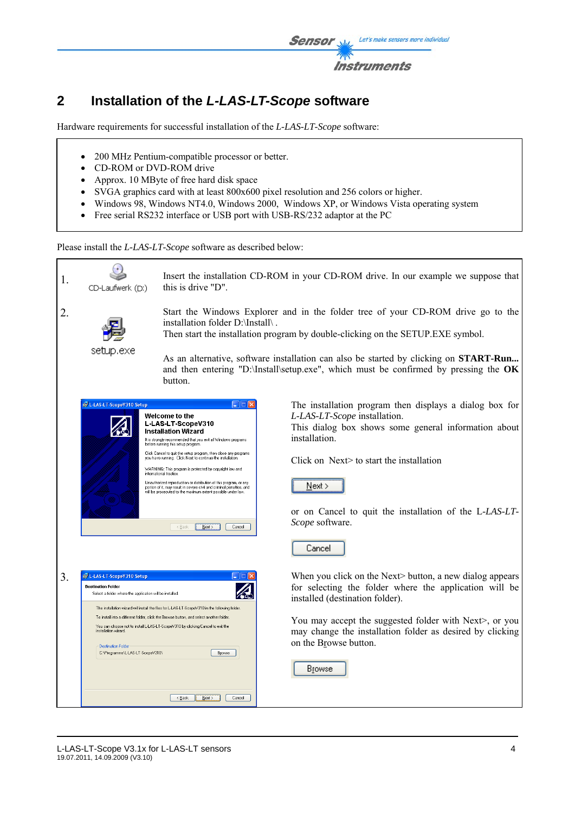

# **2 Installation of the** *L-LAS-LT-Scope* **software**

Hardware requirements for successful installation of the *L-LAS-LT-Scope* software:

- 200 MHz Pentium-compatible processor or better.
- CD-ROM or DVD-ROM drive
- Approx. 10 MByte of free hard disk space
- SVGA graphics card with at least 800x600 pixel resolution and 256 colors or higher.
- Windows 98, Windows NT4.0, Windows 2000, Windows XP, or Windows Vista operating system
- Free serial RS232 interface or USB port with USB-RS/232 adaptor at the PC

Please install the *L-LAS-LT-Scope* software as described below:

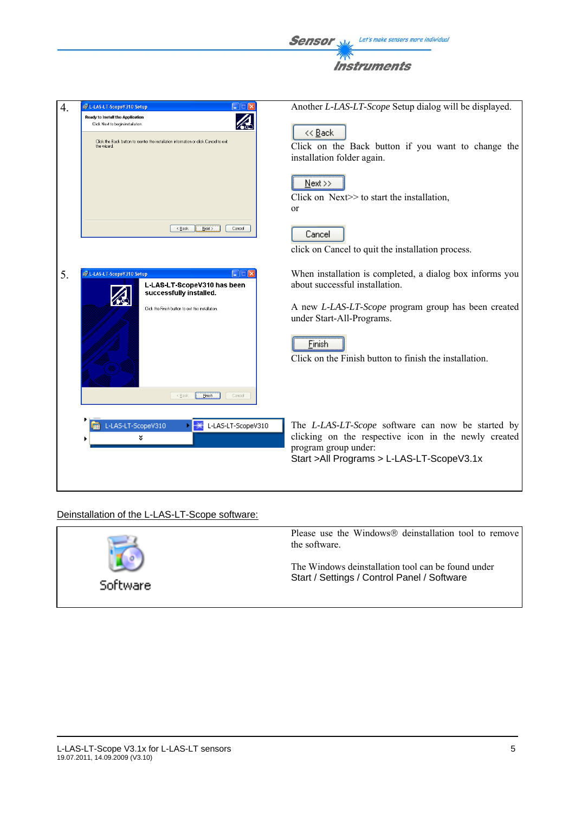

| $\overline{4}$ . | 设 L-LAS-LT-ScopeV310 Setup                                                                                                                                                    | Another L-LAS-LT-Scope Setup dialog will be displayed.                                                                                                                           |
|------------------|-------------------------------------------------------------------------------------------------------------------------------------------------------------------------------|----------------------------------------------------------------------------------------------------------------------------------------------------------------------------------|
|                  | Ready to Install the Application<br>Click Next to begin installation.<br>Click the Back button to reenter the installation information or click Cancel to exit<br>the wizard. | << Back<br>Click on the Back button if you want to change the<br>installation folder again.                                                                                      |
|                  |                                                                                                                                                                               | $Next \rightarrow$<br>Click on Next>> to start the installation,<br>or                                                                                                           |
|                  | < Back<br>Cancel<br>Next >                                                                                                                                                    | Cancel<br>click on Cancel to quit the installation process.                                                                                                                      |
| 5.               | L-LAS-LT-ScopeV310 Setup<br>L-LAS-LT-ScopeV310 has been<br>successfully installed.                                                                                            | When installation is completed, a dialog box informs you<br>about successful installation.                                                                                       |
|                  | Click the Finish button to exit this installation                                                                                                                             | A new L-LAS-LT-Scope program group has been created<br>under Start-All-Programs.                                                                                                 |
|                  |                                                                                                                                                                               | Einish<br>Click on the Finish button to finish the installation.                                                                                                                 |
|                  | < Back<br>Einish<br>Cancel                                                                                                                                                    |                                                                                                                                                                                  |
|                  | L-LAS-LT-ScopeV310<br>L-LAS-LT-ScopeV310<br>៵                                                                                                                                 | The L-LAS-LT-Scope software can now be started by<br>clicking on the respective icon in the newly created<br>program group under:<br>Start > All Programs > L-LAS-LT-Scope V3.1x |
|                  |                                                                                                                                                                               |                                                                                                                                                                                  |

# Deinstallation of the L-LAS-LT-Scope software:

|          | Please use the Windows® deinstallation tool to remove<br>the software.                            |
|----------|---------------------------------------------------------------------------------------------------|
| Software | The Windows deinstallation tool can be found under<br>Start / Settings / Control Panel / Software |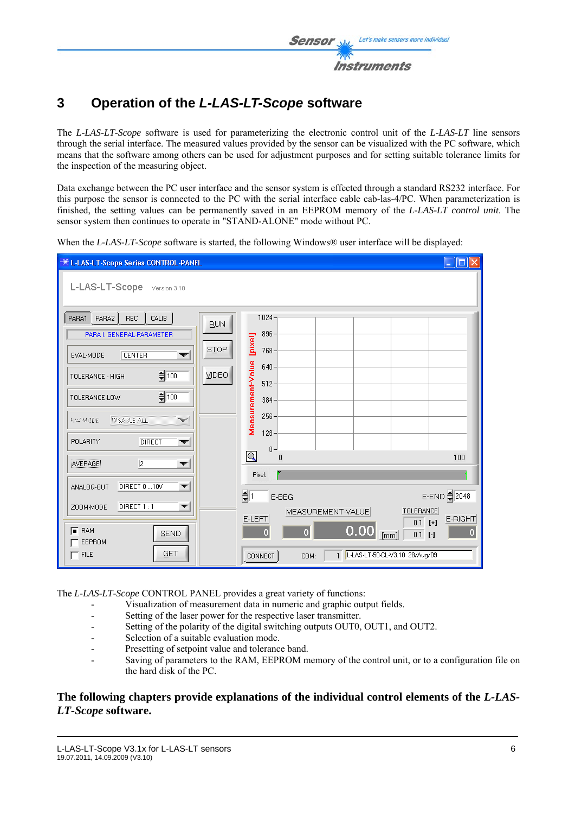

# **3 Operation of the** *L-LAS-LT-Scope* **software**

The *L-LAS-LT-Scope* software is used for parameterizing the electronic control unit of the *L-LAS-LT* line sensors through the serial interface. The measured values provided by the sensor can be visualized with the PC software, which means that the software among others can be used for adjustment purposes and for setting suitable tolerance limits for the inspection of the measuring object.

Data exchange between the PC user interface and the sensor system is effected through a standard RS232 interface. For this purpose the sensor is connected to the PC with the serial interface cable cab-las-4/PC. When parameterization is finished, the setting values can be permanently saved in an EEPROM memory of the *L-LAS-LT control unit*. The sensor system then continues to operate in "STAND-ALONE" mode without PC.

When the *L-LAS-LT-Scope* software is started, the following Windows<sup>®</sup> user interface will be displayed:

| <b>*L-LAS-LT-Scope Series CONTROL-PANEL</b>                                                                                                                                                                                                                        |                                    |                                                                                                                               | $\Box$ o $\times$     |
|--------------------------------------------------------------------------------------------------------------------------------------------------------------------------------------------------------------------------------------------------------------------|------------------------------------|-------------------------------------------------------------------------------------------------------------------------------|-----------------------|
| L-LAS-LT-Scope Version 3.10                                                                                                                                                                                                                                        |                                    |                                                                                                                               |                       |
| PARA1 PARA2<br>$Rec$ $  CAUB$ $ $<br>PARA I: GENERAL-PARAMETER<br><b>CENTER</b><br>EVAL-MODE<br>$\frac{1}{2}$ 100<br>TOLERANCE - HIGH<br>$\frac{1}{2}$ 100<br>TOLERANCE-LOW<br><b>DISABLE ALL</b><br><b>HWAIDE</b><br>```<br><b>POLARITY</b><br><b>DIRECT</b><br>▼ | <b>BUN</b><br>SIOP<br><b>VIDEO</b> | $1024 -$<br>$896 -$<br>[pixel]<br>768-<br>Measurement-Value<br>640<br>$512 -$<br>$384 -$<br>$256 -$<br>$128 -$                |                       |
| AVERAGE)<br>$\overline{2}$<br>▼                                                                                                                                                                                                                                    |                                    | $0 -$<br>$\overline{\mathsf{Q}}$<br>$\theta$<br>Pixel:                                                                        | 100                   |
| DIRECT 010V<br>ANALOG-OUT<br>▼<br>DIRECT 1:1<br>ZOOM-MODE<br>▼                                                                                                                                                                                                     |                                    | ∯⊺<br>E-BEG<br><b>TOLERANCE</b><br>MEASUREMENT-VALUE<br>E-LEFT<br>$0.1$ [+]                                                   | E-END 2048<br>E-RIGHT |
| $F$ RAM<br>SEND<br>EEPROM<br>GET<br>$-$ FILE                                                                                                                                                                                                                       |                                    | 0.00<br>$\overline{0}$<br>$\overline{0}$<br>[mm]<br>$0.1$ [-]<br>1   L-LAS-LT-50-CL-V3.10 28/Aug/09<br><b>CONNECT</b><br>COM: | $\overline{0}$        |

The *L-LAS-LT-Scope* CONTROL PANEL provides a great variety of functions:

- Visualization of measurement data in numeric and graphic output fields.
- Setting of the laser power for the respective laser transmitter.
- Setting of the polarity of the digital switching outputs OUT0, OUT1, and OUT2.
- Selection of a suitable evaluation mode.
- Presetting of setpoint value and tolerance band.
- Saving of parameters to the RAM, EEPROM memory of the control unit, or to a configuration file on the hard disk of the PC.

#### **The following chapters provide explanations of the individual control elements of the** *L-LAS-LT-Scope* **software.**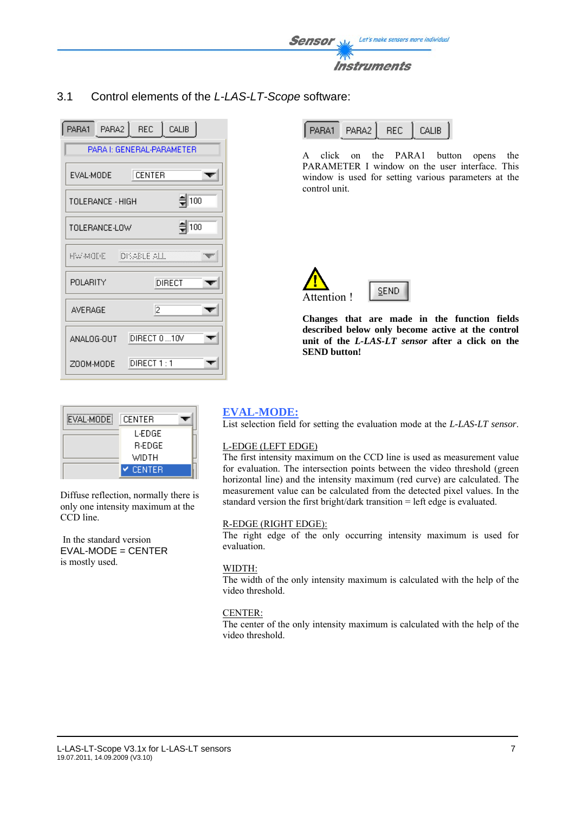

3.1 Control elements of the *L-LAS-LT-Scope* software:

| PARA1 PARA2 REC CALIB                 |
|---------------------------------------|
| PARA I: GENERAL-PARAMETER             |
| EVAL-MODE<br>CENTER                   |
| $\frac{4}{3}$ 100<br>TOLERANCE - HIGH |
| $\frac{4}{3}$ 100<br>TOLE BANCE-LOW   |
| DISABLE ALL<br>HW WODE -              |
| POLABITY<br>DIRECT                    |
| 2<br><b>AVERAGE</b>                   |
| DIRECT 0 10V<br>ANALOG-OUT            |
| DIRECT 1:1<br>ZOOM-MODE               |

| EVAL-MODE | CENTER          |  |
|-----------|-----------------|--|
|           | L-EDGE          |  |
|           | R-EDGE.         |  |
|           | WIDTH           |  |
|           | $\times$ CENTER |  |

Diffuse reflection, normally there is only one intensity maximum at the CCD line.

 In the standard version  $EVAL-MODE = CENTER$ is mostly used.

| I PARA1 L | PARA2   REC |  | I CALIB |
|-----------|-------------|--|---------|
|-----------|-------------|--|---------|

A click on the PARA1 button opens the PARAMETER I window on the user interface. This window is used for setting various parameters at the control unit.



**Changes that are made in the function fields described below only become active at the control unit of the** *L-LAS-LT sensor* **after a click on the SEND button!**

### **EVAL-MODE:**

List selection field for setting the evaluation mode at the *L-LAS-LT sensor*.

#### L-EDGE (LEFT EDGE)

The first intensity maximum on the CCD line is used as measurement value for evaluation. The intersection points between the video threshold (green horizontal line) and the intensity maximum (red curve) are calculated. The measurement value can be calculated from the detected pixel values. In the standard version the first bright/dark transition = left edge is evaluated.

#### R-EDGE (RIGHT EDGE):

The right edge of the only occurring intensity maximum is used for evaluation.

#### WIDTH:

The width of the only intensity maximum is calculated with the help of the video threshold.

#### CENTER:

The center of the only intensity maximum is calculated with the help of the video threshold.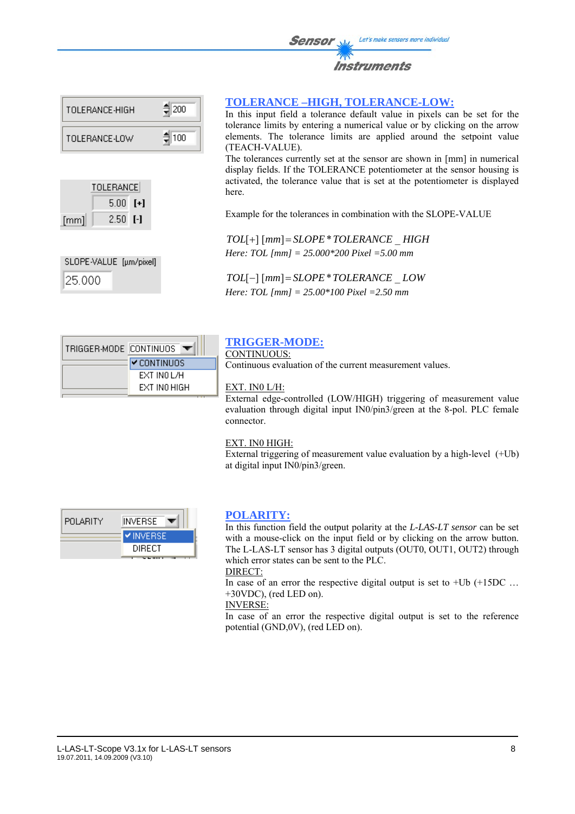| TOLERANCE-HIGH | ● 200 |
|----------------|-------|
| TOLERANCE-LOW  | ●100  |

|      | TOLERANCEI |  |  |
|------|------------|--|--|
|      | $5.00$ [+] |  |  |
| [mm] | $2.50$ [-] |  |  |

SLOPE-VALUE [µm/pixel] 25.000

|  | <b>TOLERANCE-HIGH, TOLERANCE-LOW:</b> |  |  |  |
|--|---------------------------------------|--|--|--|
|--|---------------------------------------|--|--|--|

In this input field a tolerance default value in pixels can be set for the tolerance limits by entering a numerical value or by clicking on the arrow elements. The tolerance limits are applied around the setpoint value (TEACH-VALUE).

The tolerances currently set at the sensor are shown in [mm] in numerical display fields. If the TOLERANCE potentiometer at the sensor housing is activated, the tolerance value that is set at the potentiometer is displayed here.

Example for the tolerances in combination with the SLOPE-VALUE

*TOL*[+] [*mm*]= *SLOPE*\**TOLERANCE* \_ *HIGH Here: TOL [mm] = 25.000\*200 Pixel =5.00 mm* 

*TOL*[−] [*mm*]= *SLOPE*\**TOLERANCE* \_ *LOW Here: TOL [mm] = 25.00\*100 Pixel =2.50 mm*

| TRIGGER-MODE CONTINUOS |                      |
|------------------------|----------------------|
|                        | l <b>v</b> CONTINUOS |
|                        | EXT INO L/H          |
|                        | EXT INO HIGH         |

### **TRIGGER-MODE:**

CONTINUOUS:

Continuous evaluation of the current measurement values.

#### EXT. IN0 L/H:

External edge-controlled (LOW/HIGH) triggering of measurement value evaluation through digital input IN0/pin3/green at the 8-pol. PLC female connector.

#### EXT. IN0 HIGH:

External triggering of measurement value evaluation by a high-level (+Ub) at digital input IN0/pin3/green.

| <b>POLARITY</b> | INVERSE         |
|-----------------|-----------------|
|                 | <b>VINVERSE</b> |
|                 | DIRECT          |
|                 |                 |

#### **POLARITY:**

In this function field the output polarity at the *L-LAS-LT sensor* can be set with a mouse-click on the input field or by clicking on the arrow button. The L-LAS-LT sensor has 3 digital outputs (OUT0, OUT1, OUT2) through which error states can be sent to the PLC.

DIRECT:

In case of an error the respective digital output is set to  $+Ub$   $(+15DC$  ... +30VDC), (red LED on).

INVERSE:

In case of an error the respective digital output is set to the reference potential (GND,0V), (red LED on).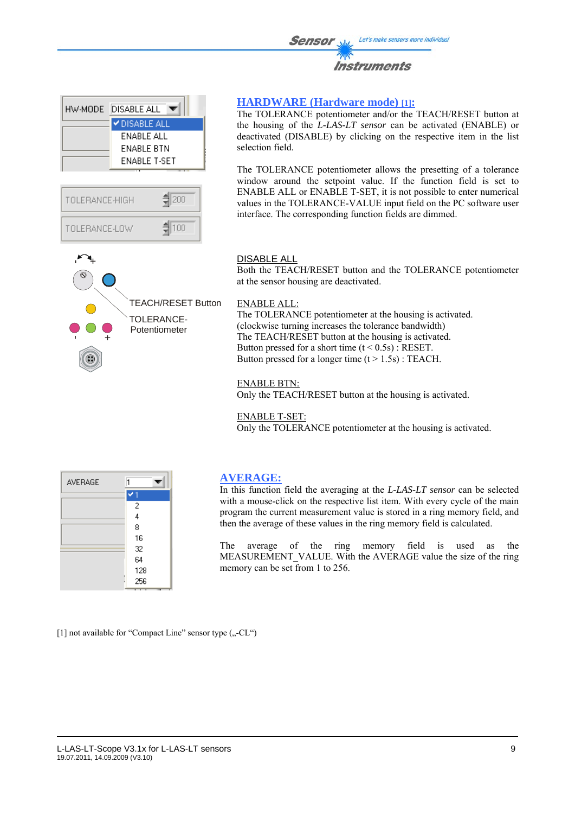







#### **HARDWARE (Hardware mode) [1]:**

The TOLERANCE potentiometer and/or the TEACH/RESET button at the housing of the *L-LAS-LT sensor* can be activated (ENABLE) or deactivated (DISABLE) by clicking on the respective item in the list selection field.

The TOLERANCE potentiometer allows the presetting of a tolerance window around the setpoint value. If the function field is set to ENABLE ALL or ENABLE T-SET, it is not possible to enter numerical values in the TOLERANCE-VALUE input field on the PC software user interface. The corresponding function fields are dimmed.

#### DISABLE ALL

Both the TEACH/RESET button and the TOLERANCE potentiometer at the sensor housing are deactivated.

#### ENABLE ALL:

The TOLERANCE potentiometer at the housing is activated. (clockwise turning increases the tolerance bandwidth) The TEACH/RESET button at the housing is activated. Button pressed for a short time  $(t < 0.5s)$ : RESET. Button pressed for a longer time  $(t > 1.5s)$ : TEACH.

#### ENABLE BTN:

Only the TEACH/RESET button at the housing is activated.

#### ENABLE T-SET:

Only the TOLERANCE potentiometer at the housing is activated.

| AVERAGE |     |
|---------|-----|
|         |     |
|         | 2   |
|         | 4   |
|         | 8   |
|         | 16  |
|         | 32  |
|         | 64  |
|         | 128 |
|         | 256 |

#### **AVERAGE:**

In this function field the averaging at the *L-LAS-LT sensor* can be selected with a mouse-click on the respective list item. With every cycle of the main program the current measurement value is stored in a ring memory field, and then the average of these values in the ring memory field is calculated.

The average of the ring memory field is used as the MEASUREMENT VALUE. With the AVERAGE value the size of the ring memory can be set from 1 to 256.

[1] not available for "Compact Line" sensor type  $($ "-CL")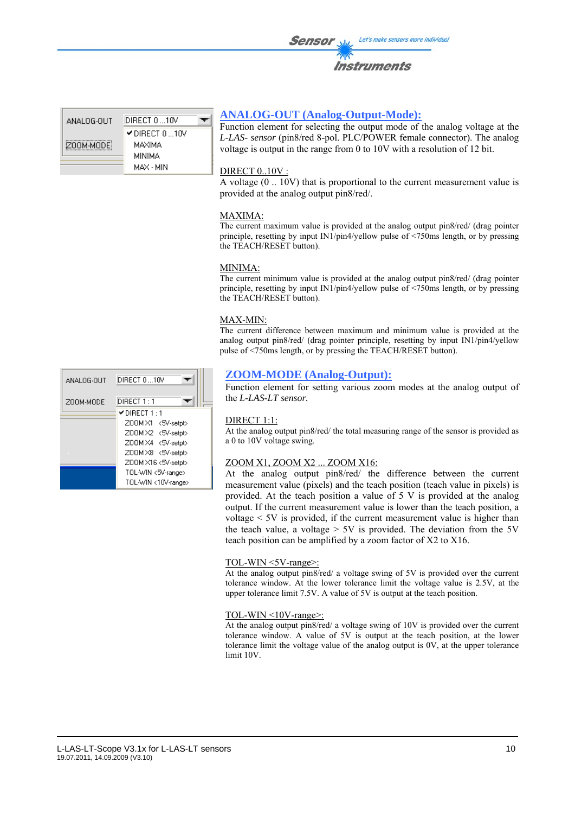ANALOG-OUT DIRECT 0 ... 10V DIRECT 0 ... 10V ZOOM-MODE MAXIMA **MINIMA** MAX - MIN

#### **ANALOG-OUT (Analog-Output-Mode):**

Function element for selecting the output mode of the analog voltage at the *L-LAS- sensor* (pin8/red 8-pol. PLC/POWER female connector). The analog voltage is output in the range from 0 to 10V with a resolution of 12 bit.

#### DIRECT 0..10V :

A voltage (0 .. 10V) that is proportional to the current measurement value is provided at the analog output pin8/red/.

#### MAXIMA:

The current maximum value is provided at the analog output pin8/red/ (drag pointer principle, resetting by input IN1/pin4/yellow pulse of <750ms length, or by pressing the TEACH/RESET button).

#### MINIMA:

The current minimum value is provided at the analog output pin8/red/ (drag pointer principle, resetting by input IN1/pin4/yellow pulse of <750ms length, or by pressing the TEACH/RESET button).

#### MAX-MIN:

The current difference between maximum and minimum value is provided at the analog output pin8/red/ (drag pointer principle, resetting by input IN1/pin4/yellow pulse of <750ms length, or by pressing the TEACH/RESET button).

#### **ZOOM-MODE (Analog-Output):**

Function element for setting various zoom modes at the analog output of the *L-LAS-LT sensor.*

#### DIRECT 1:1:

At the analog output pin8/red/ the total measuring range of the sensor is provided as a 0 to 10V voltage swing.

#### ZOOM X1, ZOOM X2 ... ZOOM X16:

At the analog output pin8/red/ the difference between the current measurement value (pixels) and the teach position (teach value in pixels) is provided. At the teach position a value of 5 V is provided at the analog output. If the current measurement value is lower than the teach position, a voltage < 5V is provided, if the current measurement value is higher than the teach value, a voltage  $> 5V$  is provided. The deviation from the 5V teach position can be amplified by a zoom factor of X2 to X16.

#### TOL-WIN <5V-range>:

At the analog output pin8/red/ a voltage swing of 5V is provided over the current tolerance window. At the lower tolerance limit the voltage value is 2.5V, at the upper tolerance limit 7.5V. A value of 5V is output at the teach position.

#### TOL-WIN <10V-range>:

At the analog output pin8/red/ a voltage swing of 10V is provided over the current tolerance window. A value of 5V is output at the teach position, at the lower tolerance limit the voltage value of the analog output is 0V, at the upper tolerance limit 10V.

| ANALOG-OUT | DIRECT 010V         |
|------------|---------------------|
| ZOOM-MODE  | DIRECT 1 : 1        |
|            | ✔DIRECT 1 : 1       |
|            | Z00M X1 <5V-setpt>  |
|            | Z00MX2 <5V-setpt>   |
|            | Z00M X4 <5V-setpt>  |
|            | Z00MX8 <5V-setpt>   |
|            | Z00M X16 <5V-setpt> |
|            | TOL-WIN <5V-range>  |
|            | TOL-WIN <10V-range> |
|            |                     |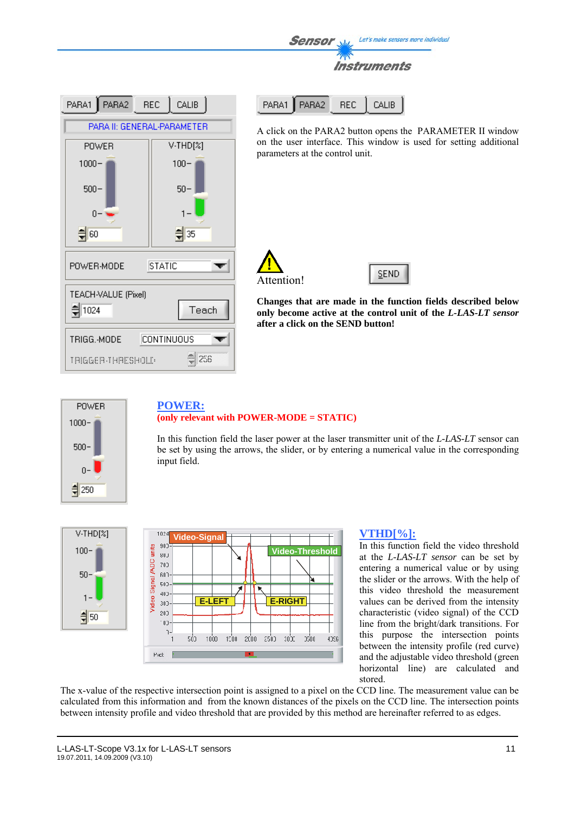

| PARA1 PARA2 REC CALIB       |                   |  |
|-----------------------------|-------------------|--|
| PARA II: GENERAL-PARAMETER  |                   |  |
| <b>POWER</b>                | V-THD[%]          |  |
| $1000 -$                    | $100 -$           |  |
| $500 -$                     | $50 -$            |  |
| n                           |                   |  |
| 해이                          | 35                |  |
| <b>STATIC</b><br>POWER-MODE |                   |  |
| TEACH-VALUE (Pixel)         |                   |  |
| 1024                        | Teach             |  |
| TRIGG.-MODE                 | <b>CONTINUOUS</b> |  |
| TRIGGER-THRESHOLD           | 258               |  |

PARA2 PARA1 **REC** CALIB

A click on the PARA2 button opens the PARAMETER II window on the user interface. This window is used for setting additional parameters at the control unit.



SEND

**Changes that are made in the function fields described below only become active at the control unit of the** *L-LAS-LT sensor* **after a click on the SEND button!**



# **POWER: (only relevant with POWER-MODE = STATIC)**

In this function field the laser power at the laser transmitter unit of the *L-LAS-LT* sensor can be set by using the arrows, the slider, or by entering a numerical value in the corresponding input field.





#### **VTHD[%]:**

In this function field the video threshold at the *L-LAS-LT sensor* can be set by entering a numerical value or by using the slider or the arrows. With the help of this video threshold the measurement values can be derived from the intensity characteristic (video signal) of the CCD line from the bright/dark transitions. For this purpose the intersection points between the intensity profile (red curve) and the adjustable video threshold (green horizontal line) are calculated and stored.

The x-value of the respective intersection point is assigned to a pixel on the CCD line. The measurement value can be calculated from this information and from the known distances of the pixels on the CCD line. The intersection points between intensity profile and video threshold that are provided by this method are hereinafter referred to as edges.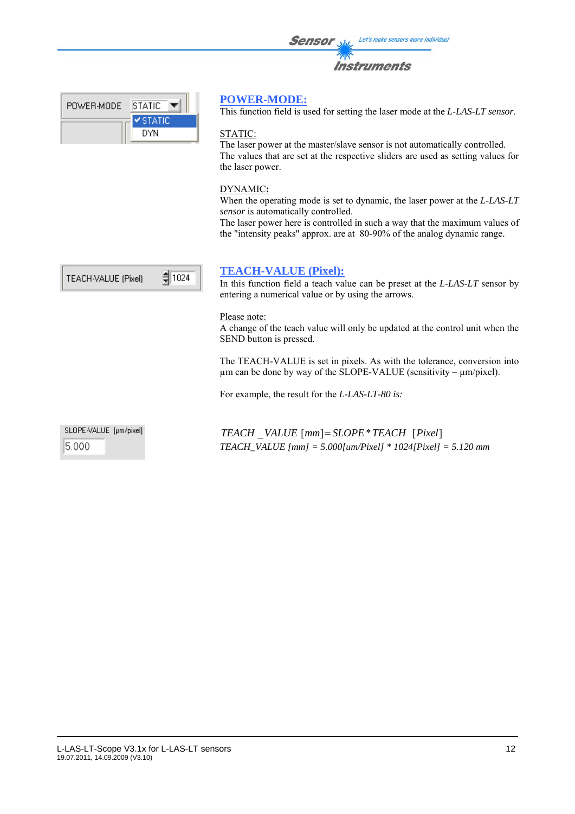| <b>Sensor</b> | Let's make sensors more individual |
|---------------|------------------------------------|
|               | <b>Instruments</b>                 |

| <b>⊻</b> STATIC |
|-----------------|
| DYN             |
|                 |

### **POWER-MODE:**

This function field is used for setting the laser mode at the *L-LAS-LT sensor*.

#### STATIC:

The laser power at the master/slave sensor is not automatically controlled. The values that are set at the respective sliders are used as setting values for the laser power.

#### DYNAMIC**:**

When the operating mode is set to dynamic, the laser power at the *L-LAS-LT sensor* is automatically controlled.

The laser power here is controlled in such a way that the maximum values of the "intensity peaks" approx. are at 80-90% of the analog dynamic range.



#### **TEACH-VALUE (Pixel):**

In this function field a teach value can be preset at the *L-LAS-LT* sensor by entering a numerical value or by using the arrows.

#### Please note:

A change of the teach value will only be updated at the control unit when the SEND button is pressed.

The TEACH-VALUE is set in pixels. As with the tolerance, conversion into µm can be done by way of the SLOPE-VALUE (sensitivity – µm/pixel).

For example, the result for the *L-LAS-LT-80 is:* 

SLOPE-VALUE [µm/pixel] 5.000

*TEACH* \_*VALUE* [*mm*]= *SLOPE*\**TEACH* [*Pixel*] *TEACH\_VALUE [mm] = 5.000[um/Pixel] \* 1024[Pixel] = 5.120 mm*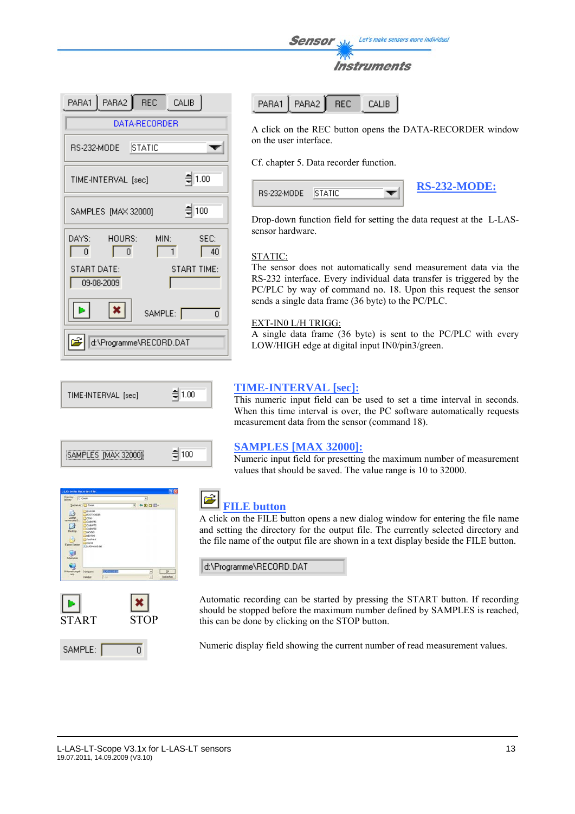Let's make sensors more individual Sensor



|                           | PARA1 PARA2 REC CALIB              |
|---------------------------|------------------------------------|
|                           | DATA-RECORDER                      |
| RS-232-MODE STATIC        |                                    |
| TIME-INTERVAL [sec]       | $= 1.00$                           |
| SAMPLES [MAX 32000]       | $\frac{4}{3}$ 100                  |
| DAYS:<br>HOURS:<br>0<br>0 | MIN:<br>SEC:<br>$\mathbf{1}$<br>40 |
| START DATE:<br>09-08-2009 | START TIME:                        |
|                           | SAMPLE: [<br>Ū.                    |
|                           | d:\Programme\RECORD.DAT            |









PARA2 **BEC** CALIB PARA1

A click on the REC button opens the DATA-RECORDER window on the user interface.

Cf. chapter 5. Data recorder function.



Drop-down function field for setting the data request at the L-LASsensor hardware.

#### STATIC:

The sensor does not automatically send measurement data via the RS-232 interface. Every individual data transfer is triggered by the PC/PLC by way of command no. 18. Upon this request the sensor sends a single data frame (36 byte) to the PC/PLC.

#### EXT-IN0 L/H TRIGG:

A single data frame (36 byte) is sent to the PC/PLC with every LOW/HIGH edge at digital input IN0/pin3/green.

#### **TIME-INTERVAL [sec]:**

This numeric input field can be used to set a time interval in seconds. When this time interval is over, the PC software automatically requests measurement data from the sensor (command 18).

#### **SAMPLES [MAX 32000]:**

Numeric input field for presetting the maximum number of measurement values that should be saved. The value range is 10 to 32000.



# **FILE button**

A click on the FILE button opens a new dialog window for entering the file name and setting the directory for the output file. The currently selected directory and the file name of the output file are shown in a text display beside the FILE button.

d:\Programme\RECORD.DAT

Automatic recording can be started by pressing the START button. If recording should be stopped before the maximum number defined by SAMPLES is reached, this can be done by clicking on the STOP button.

Numeric display field showing the current number of read measurement values.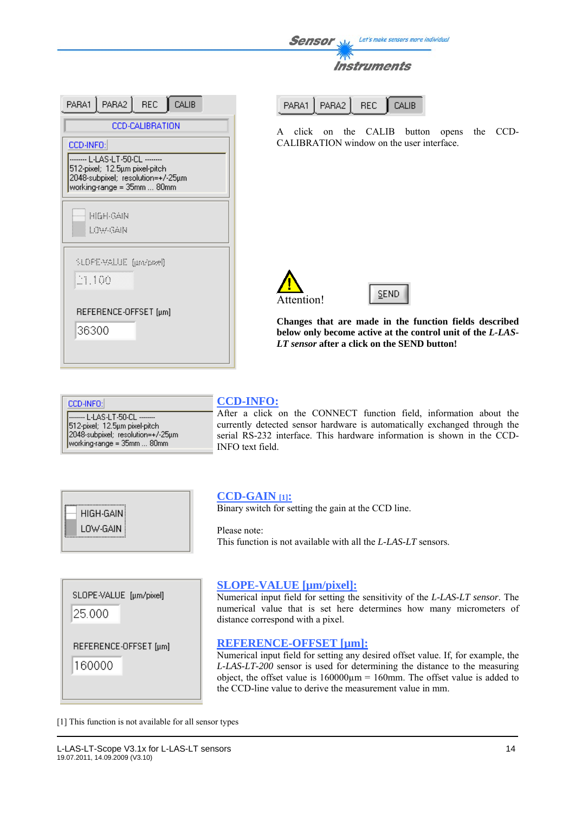| <b>Sensor</b> | Let's make sensors more individual |
|---------------|------------------------------------|
|               |                                    |
|               | <b>Instruments</b>                 |

| PARA1   PARA2   REC  <br>CALIB                                                                   |
|--------------------------------------------------------------------------------------------------|
| <b>CCD-CALIBRATION</b>                                                                           |
| CCD-INFO:                                                                                        |
| 512-pixel; 12.5µm pixel-pitch<br>2048-subpixel; resolution=+7-25µm<br>working-range = 35mm  80mm |
| HIGH GAIN<br>LOW-GAIN                                                                            |
| SLOFE-VALUE (µm/pael)                                                                            |
| 21.100                                                                                           |
| REFERENCE-OFFSET [µm]<br>36300                                                                   |
|                                                                                                  |

|  | PARA1   PARA2   REC   CALIB |  |  |
|--|-----------------------------|--|--|
|--|-----------------------------|--|--|

A click on the CALIB button opens the CCD-CALIBRATION window on the user interface.





**Changes that are made in the function fields described below only become active at the control unit of the** *L-LAS-LT sensor* **after a click on the SEND button!**

CCD-INFO: ------- L-LAS-LT-50-CL --------512-pixel; 12.5um pixel-pitch one place, helpen place place.<br>2048-subpixel; resolution=+/-25µm<br>|working-range = 35mm ... 80mm

#### **CCD-INFO:**

After a click on the CONNECT function field, information about the currently detected sensor hardware is automatically exchanged through the serial RS-232 interface. This hardware information is shown in the CCD-INFO text field.

| HIGH-GAIN! |  |
|------------|--|
| LOW-GAIN   |  |

#### **CCD-GAIN [1]:**

Binary switch for setting the gain at the CCD line.

Please note: This function is not available with all the *L-LAS-LT* sensors.

SLOPE-VALUE [µm/pixel]

25.000

REFERENCE-OFFSET [µm]

160000

#### **SLOPE-VALUE [µm/pixel]:**

Numerical input field for setting the sensitivity of the *L-LAS-LT sensor*. The numerical value that is set here determines how many micrometers of distance correspond with a pixel.

#### **REFERENCE-OFFSET [µm]:**

Numerical input field for setting any desired offset value. If, for example, the *L-LAS-LT-200* sensor is used for determining the distance to the measuring object, the offset value is  $160000 \mu m = 160 \mu m$ . The offset value is added to the CCD-line value to derive the measurement value in mm.

[1] This function is not available for all sensor types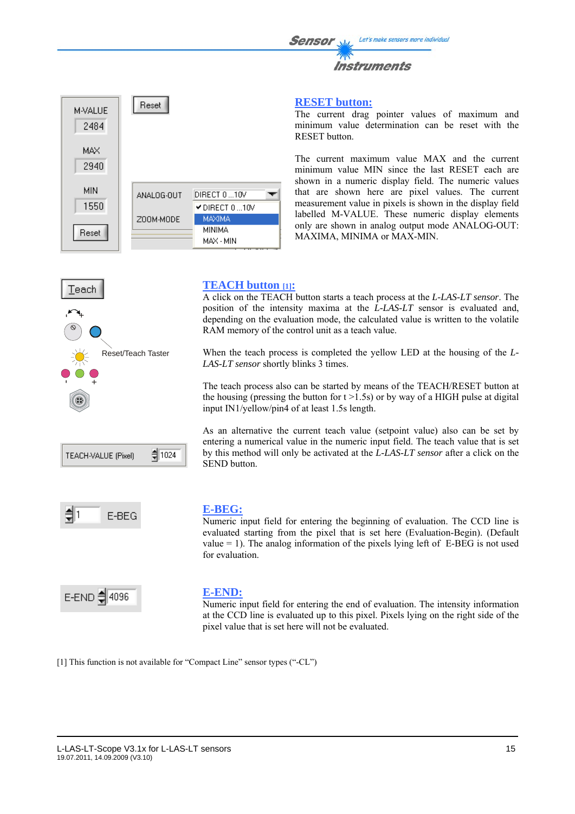#### **RESET button:**

The current drag pointer values of maximum and minimum value determination can be reset with the RESET button.

The current maximum value MAX and the current minimum value MIN since the last RESET each are shown in a numeric display field. The numeric values that are shown here are pixel values. The current measurement value in pixels is shown in the display field labelled M-VALUE. These numeric display elements only are shown in analog output mode ANALOG-OUT: MAXIMA, MINIMA or MAX-MIN.



Reset

ANALOG-OUT

Z00M-MODE

**M-VALUE** 2484

> MAX 2940

**MIN** 

1550

Reset



# **TEACH button [1]:**

DIRECT 0 ... 10V

MAXIMA **MINIMA** 

MAX - MIN

DIRECT 0...10V

A click on the TEACH button starts a teach process at the *L-LAS-LT sensor*. The position of the intensity maxima at the *L-LAS-LT* sensor is evaluated and, depending on the evaluation mode, the calculated value is written to the volatile RAM memory of the control unit as a teach value.

When the teach process is completed the yellow LED at the housing of the *L-LAS-LT sensor* shortly blinks 3 times.

The teach process also can be started by means of the TEACH/RESET button at the housing (pressing the button for  $t > 1.5$ s) or by way of a HIGH pulse at digital input IN1/yellow/pin4 of at least 1.5s length.

As an alternative the current teach value (setpoint value) also can be set by entering a numerical value in the numeric input field. The teach value that is set by this method will only be activated at the *L-LAS-LT sensor* after a click on the SEND button.



# **E-BEG:**

Numeric input field for entering the beginning of evaluation. The CCD line is evaluated starting from the pixel that is set here (Evaluation-Begin). (Default value  $= 1$ ). The analog information of the pixels lying left of E-BEG is not used for evaluation.



#### **E-END:**

Numeric input field for entering the end of evaluation. The intensity information at the CCD line is evaluated up to this pixel. Pixels lying on the right side of the pixel value that is set here will not be evaluated.

[1] This function is not available for "Compact Line" sensor types ("-CL")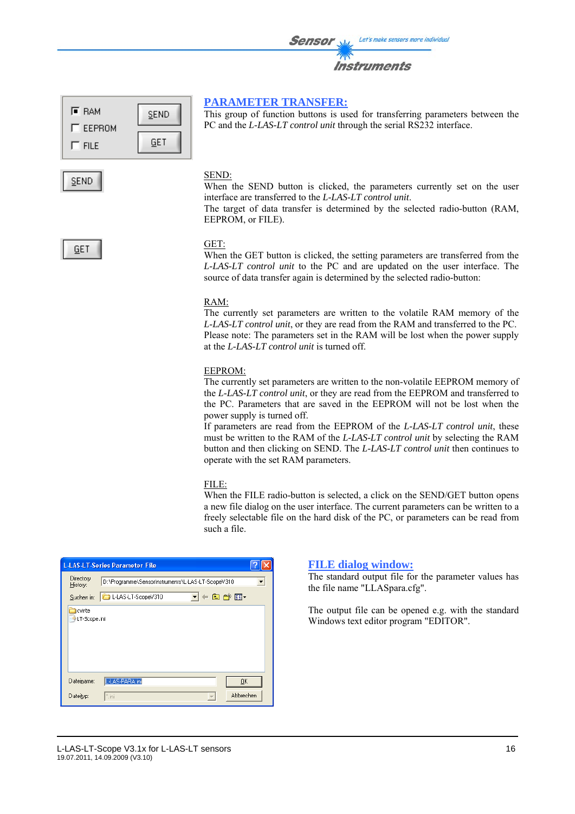| <b>Sensor</b> | Let's make sensors more individual |
|---------------|------------------------------------|
|               | Instruments                        |

#### **F** RAM **SEND**  $\Gamma$  EEPROM GET  $\Gamma$  FILE

**PARAMETER TRANSFER:** This group of function buttons is used for transferring parameters between the PC and the *L-LAS-LT control unit* through the serial RS232 interface.

#### SEND:

When the SEND button is clicked, the parameters currently set on the user interface are transferred to the *L-LAS-LT control unit*.

The target of data transfer is determined by the selected radio-button (RAM, EEPROM, or FILE).

GET

SEND.

#### GET:

When the GET button is clicked, the setting parameters are transferred from the *L-LAS-LT control unit* to the PC and are updated on the user interface. The source of data transfer again is determined by the selected radio-button:

#### RAM:

The currently set parameters are written to the volatile RAM memory of the *L-LAS-LT control unit*, or they are read from the RAM and transferred to the PC. Please note: The parameters set in the RAM will be lost when the power supply at the *L-LAS-LT control unit* is turned off.

#### EEPROM:

The currently set parameters are written to the non-volatile EEPROM memory of the *L-LAS-LT control unit*, or they are read from the EEPROM and transferred to the PC. Parameters that are saved in the EEPROM will not be lost when the power supply is turned off.

If parameters are read from the EEPROM of the *L-LAS-LT control unit*, these must be written to the RAM of the *L-LAS-LT control unit* by selecting the RAM button and then clicking on SEND. The *L-LAS-LT control unit* then continues to operate with the set RAM parameters.

#### FILE:

When the FILE radio-button is selected, a click on the SEND/GET button opens a new file dialog on the user interface. The current parameters can be written to a freely selectable file on the hard disk of the PC, or parameters can be read from such a file.

| <b>L-LAS-LT-Series Parameter File</b> |                                                   |  |  |  |  |
|---------------------------------------|---------------------------------------------------|--|--|--|--|
| Directory<br>History:                 | D:\Programme\SensorInstruments\L-LAS-LT-ScopeV310 |  |  |  |  |
| Suchen in:                            | F®dr⊠∙<br>L-LAS-LT-ScopeV310                      |  |  |  |  |
| <b>I</b> cvirte<br>LT-Scope.ini       |                                                   |  |  |  |  |
| Dateiname:                            | L-LAS-PARA.ini<br>QK                              |  |  |  |  |
| Dateityp:                             | Abbrechen<br>".ini                                |  |  |  |  |

#### **FILE dialog window:**

The standard output file for the parameter values has the file name "LLASpara.cfg".

The output file can be opened e.g. with the standard Windows text editor program "EDITOR".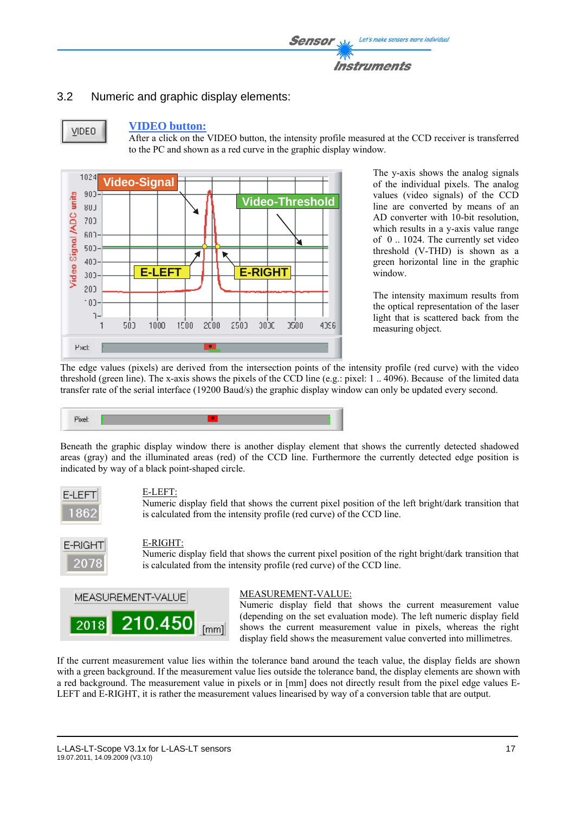

## 3.2 Numeric and graphic display elements:



#### **VIDEO button:**

After a click on the VIDEO button, the intensity profile measured at the CCD receiver is transferred to the PC and shown as a red curve in the graphic display window.



The y-axis shows the analog signals of the individual pixels. The analog values (video signals) of the CCD line are converted by means of an AD converter with 10-bit resolution, which results in a y-axis value range of 0 .. 1024. The currently set video threshold (V-THD) is shown as a green horizontal line in the graphic window.

The intensity maximum results from the optical representation of the laser light that is scattered back from the measuring object.

The edge values (pixels) are derived from the intersection points of the intensity profile (red curve) with the video threshold (green line). The x-axis shows the pixels of the CCD line (e.g.: pixel: 1 .. 4096). Because of the limited data transfer rate of the serial interface (19200 Baud/s) the graphic display window can only be updated every second.



Beneath the graphic display window there is another display element that shows the currently detected shadowed areas (gray) and the illuminated areas (red) of the CCD line. Furthermore the currently detected edge position is indicated by way of a black point-shaped circle.



#### E-LEFT:

Numeric display field that shows the current pixel position of the left bright/dark transition that is calculated from the intensity profile (red curve) of the CCD line.



## E-RIGHT:

Numeric display field that shows the current pixel position of the right bright/dark transition that is calculated from the intensity profile (red curve) of the CCD line.



#### MEASUREMENT-VALUE:

Numeric display field that shows the current measurement value (depending on the set evaluation mode). The left numeric display field shows the current measurement value in pixels, whereas the right display field shows the measurement value converted into millimetres.

If the current measurement value lies within the tolerance band around the teach value, the display fields are shown with a green background. If the measurement value lies outside the tolerance band, the display elements are shown with a red background. The measurement value in pixels or in [mm] does not directly result from the pixel edge values E-LEFT and E-RIGHT, it is rather the measurement values linearised by way of a conversion table that are output.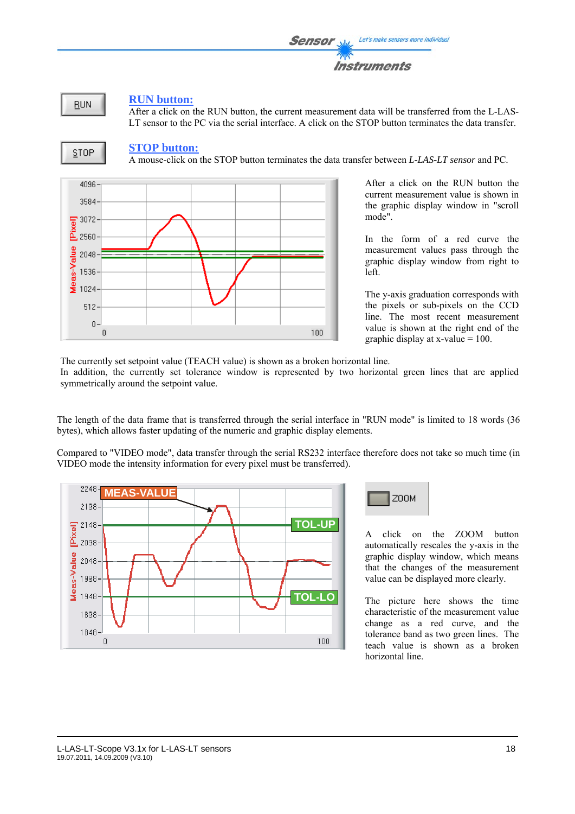**RUN** 

#### **RUN button:**

After a click on the RUN button, the current measurement data will be transferred from the L-LAS-LT sensor to the PC via the serial interface. A click on the STOP button terminates the data transfer.



#### **STOP button:**

A mouse-click on the STOP button terminates the data transfer between *L-LAS-LT sensor* and PC.



After a click on the RUN button the current measurement value is shown in the graphic display window in "scroll mode".

In the form of a red curve the measurement values pass through the graphic display window from right to left.

The y-axis graduation corresponds with the pixels or sub-pixels on the CCD line. The most recent measurement value is shown at the right end of the graphic display at x-value  $= 100$ .

The currently set setpoint value (TEACH value) is shown as a broken horizontal line.

In addition, the currently set tolerance window is represented by two horizontal green lines that are applied symmetrically around the setpoint value.

The length of the data frame that is transferred through the serial interface in "RUN mode" is limited to 18 words (36 bytes), which allows faster updating of the numeric and graphic display elements.

Compared to "VIDEO mode", data transfer through the serial RS232 interface therefore does not take so much time (in VIDEO mode the intensity information for every pixel must be transferred).



Z00M

A click on the ZOOM button automatically rescales the y-axis in the graphic display window, which means that the changes of the measurement value can be displayed more clearly.

The picture here shows the time characteristic of the measurement value change as a red curve, and the tolerance band as two green lines. The teach value is shown as a broken horizontal line.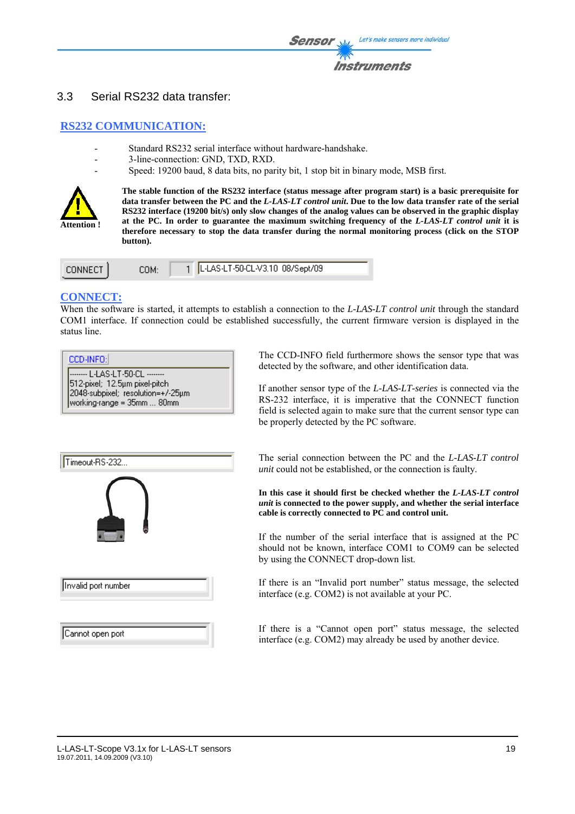

#### 3.3 Serial RS232 data transfer:

#### **RS232 COMMUNICATION:**

- Standard RS232 serial interface without hardware-handshake.
- 3-line-connection: GND, TXD, RXD.
- Speed: 19200 baud, 8 data bits, no parity bit, 1 stop bit in binary mode, MSB first.



**The stable function of the RS232 interface (status message after program start) is a basic prerequisite for data transfer between the PC and the** *L-LAS-LT control unit***. Due to the low data transfer rate of the serial RS232 interface (19200 bit/s) only slow changes of the analog values can be observed in the graphic display at the PC. In order to guarantee the maximum switching frequency of the** *L-LAS-LT control unit* **it is therefore necessary to stop the data transfer during the normal monitoring process (click on the STOP button).** 

| <b>CONNECT</b> | COM: | 1   L-LAS-LT-50-CL-V3.10 08/Sept/09 |
|----------------|------|-------------------------------------|
|                |      |                                     |

#### **CONNECT:**

Cannot open port

When the software is started, it attempts to establish a connection to the *L-LAS-LT control unit* through the standard COM1 interface. If connection could be established successfully, the current firmware version is displayed in the status line.

| CCD-INFO:I                                                                                                                           |  |
|--------------------------------------------------------------------------------------------------------------------------------------|--|
| -------- L-LAS-LT-50-CL --------<br>512-pixel; 12.5um pixel-pitch<br>2048-subpixel; resolution=+/-25µm<br>working-range = 35mm  80mm |  |

Timeout-RS-232... Invalid port number The CCD-INFO field furthermore shows the sensor type that was detected by the software, and other identification data.

If another sensor type of the *L-LAS-LT-series* is connected via the RS-232 interface, it is imperative that the CONNECT function field is selected again to make sure that the current sensor type can be properly detected by the PC software.

The serial connection between the PC and the *L-LAS-LT control unit* could not be established, or the connection is faulty.

**In this case it should first be checked whether the** *L-LAS-LT control unit* **is connected to the power supply, and whether the serial interface cable is correctly connected to PC and control unit.** 

If the number of the serial interface that is assigned at the PC should not be known, interface COM1 to COM9 can be selected by using the CONNECT drop-down list.

If there is an "Invalid port number" status message, the selected interface (e.g. COM2) is not available at your PC.

If there is a "Cannot open port" status message, the selected interface (e.g. COM2) may already be used by another device.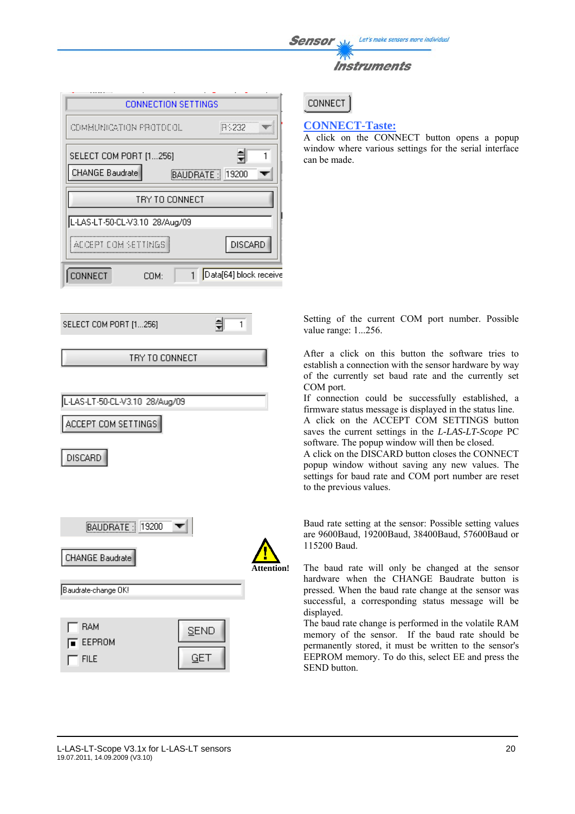| <b>Sensor</b> | Let's make sensors more individual |
|---------------|------------------------------------|
|               | <b>Instruments</b>                 |
|               |                                    |

| COMMUNICATION FROTOCOL             | BS232                  |  |
|------------------------------------|------------------------|--|
|                                    |                        |  |
| SELECT COM PORT [1256]             |                        |  |
| CHANGE Baudrate<br>BAUDRATE: 19200 |                        |  |
| TRY TO CONNECT                     |                        |  |
| L-LAS-LT-50-CL-V3.10 28/Aug/09     |                        |  |
| ACCEPT COM SETTINGS                | <b>DISCARD</b>         |  |
| <b>INNECT</b><br>COM:              | Data[64] block receive |  |

TRY TO CONNECT

1

**CONNECT** 

#### **CONNECT-Taste:**

A click on the CONNECT button opens a popup window where various settings for the serial interface can be made.

Setting of the current COM port number. Possible value range: 1...256.

After a click on this button the software tries to establish a connection with the sensor hardware by way of the currently set baud rate and the currently set COM port.

If connection could be successfully established, a firmware status message is displayed in the status line.

A click on the ACCEPT COM SETTINGS button saves the current settings in the *L-LAS-LT-Scope* PC software. The popup window will then be closed.

A click on the DISCARD button closes the CONNECT popup window without saving any new values. The settings for baud rate and COM port number are reset to the previous values.

Baud rate setting at the sensor: Possible setting values are 9600Baud, 19200Baud, 38400Baud, 57600Baud or 115200 Baud.

The baud rate will only be changed at the sensor hardware when the CHANGE Baudrate button is pressed. When the baud rate change at the sensor was successful, a corresponding status message will be displayed.

The baud rate change is performed in the volatile RAM memory of the sensor. If the baud rate should be permanently stored, it must be written to the sensor's EEPROM memory. To do this, select EE and press the SEND button.

### DISCARD

SELECT COM PORT [1...256]

L-LAS-LT-50-CL-V3.10 28/Aug/09

ACCEPT COM SETTINGS

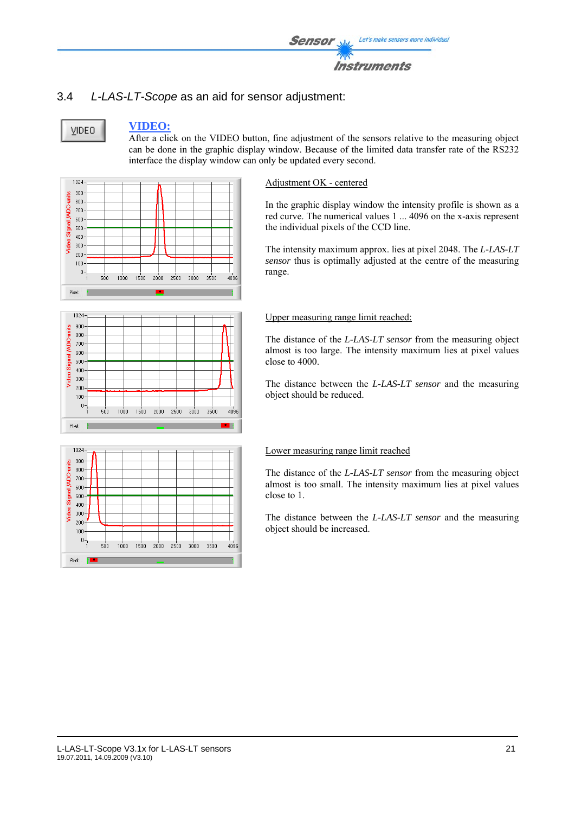

# 3.4 *L-LAS-LT-Scope* as an aid for sensor adjustment:

VIDEO

#### **VIDEO:**

After a click on the VIDEO button, fine adjustment of the sensors relative to the measuring object can be done in the graphic display window. Because of the limited data transfer rate of the RS232 interface the display window can only be updated every second.



#### 1024 900 units  $800<sub>1</sub>$ Video Signal /ADC-200  $600<sub>1</sub>$  $500<sub>1</sub>$  $400<sub>1</sub>$  $300<sub>2</sub>$  $200 100<sup>°</sup>$  $\theta$  - $2000$  $1000$  $1500$  $sin$ 2500  $3000$ 3500 angs Pixel: r



#### Adjustment OK - centered

In the graphic display window the intensity profile is shown as a red curve. The numerical values 1 ... 4096 on the x-axis represent the individual pixels of the CCD line.

The intensity maximum approx. lies at pixel 2048. The *L-LAS-LT sensor* thus is optimally adjusted at the centre of the measuring range.

#### Upper measuring range limit reached:

The distance of the *L-LAS-LT sensor* from the measuring object almost is too large. The intensity maximum lies at pixel values close to 4000.

The distance between the *L-LAS-LT sensor* and the measuring object should be reduced.

#### Lower measuring range limit reached

The distance of the *L-LAS-LT sensor* from the measuring object almost is too small. The intensity maximum lies at pixel values close to 1.

The distance between the *L-LAS-LT sensor* and the measuring object should be increased.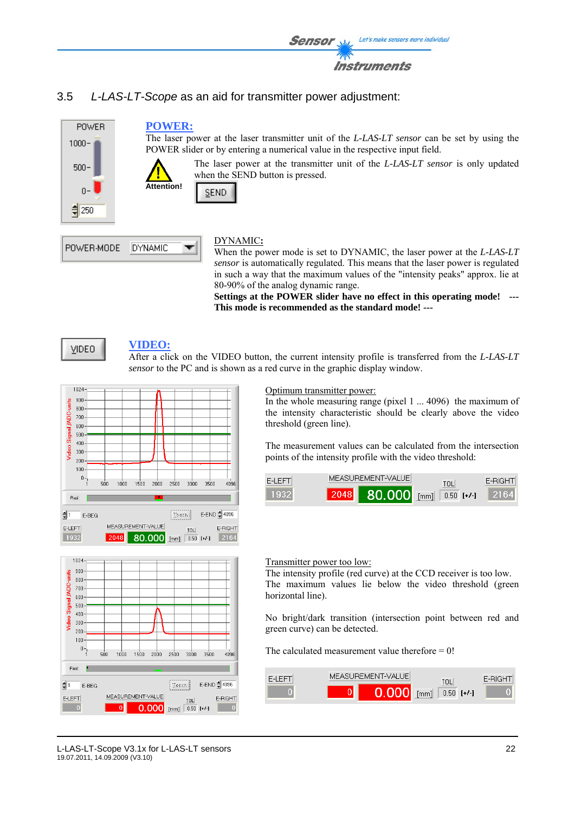

# 3.5 *L-LAS-LT-Scope* as an aid for transmitter power adjustment:



# DYNAMIC**:**

When the power mode is set to DYNAMIC, the laser power at the *L-LAS-LT sensor* is automatically regulated. This means that the laser power is regulated in such a way that the maximum values of the "intensity peaks" approx. lie at 80-90% of the analog dynamic range.

**Settings at the POWER slider have no effect in this operating mode! --- This mode is recommended as the standard mode! ---**



POWER-MODE

#### **VIDEO:**

**DYNAMIC** 

After a click on the VIDEO button, the current intensity profile is transferred from the *L-LAS-LT sensor* to the PC and is shown as a red curve in the graphic display window.





#### Optimum transmitter power:

In the whole measuring range (pixel 1 ... 4096) the maximum of the intensity characteristic should be clearly above the video threshold (green line).

The measurement values can be calculated from the intersection points of the intensity profile with the video threshold:



#### Transmitter power too low:

The intensity profile (red curve) at the CCD receiver is too low. The maximum values lie below the video threshold (green horizontal line).

No bright/dark transition (intersection point between red and green curve) can be detected.

The calculated measurement value therefore  $= 0!$ 

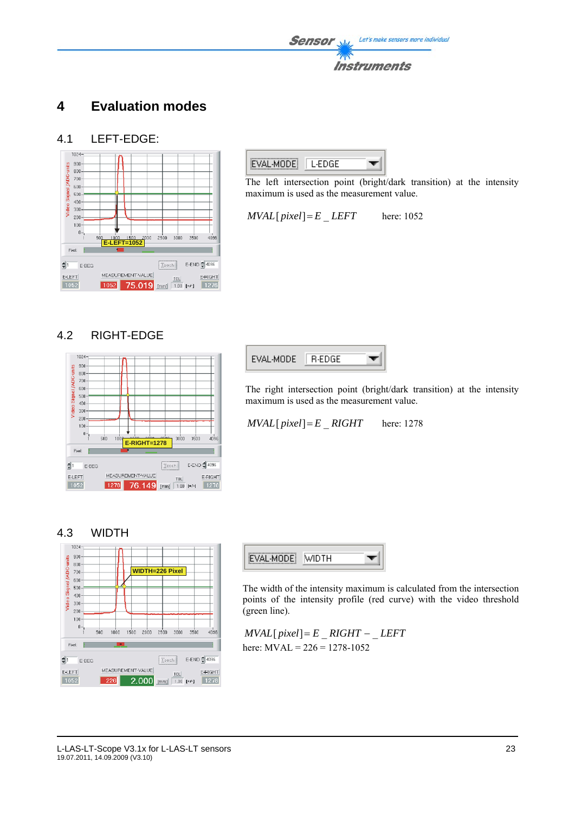# **4 Evaluation modes**

#### 4.1 LEFT-EDGE:





The left intersection point (bright/dark transition) at the intensity maximum is used as the measurement value.

 $MVAL$ [ $pixel$ ] = *E* LEFT here: 1052

### 4.2 RIGHT-EDGE





The right intersection point (bright/dark transition) at the intensity maximum is used as the measurement value.

 $MVAL$ [ $pixel$ ] = *E* RIGHT here: 1278





The width of the intensity maximum is calculated from the intersection points of the intensity profile (red curve) with the video threshold (green line).

 $MVAL[$  *pixel*]=  $E$   $RIGHT - LEFT$ here: MVAL = 226 = 1278-1052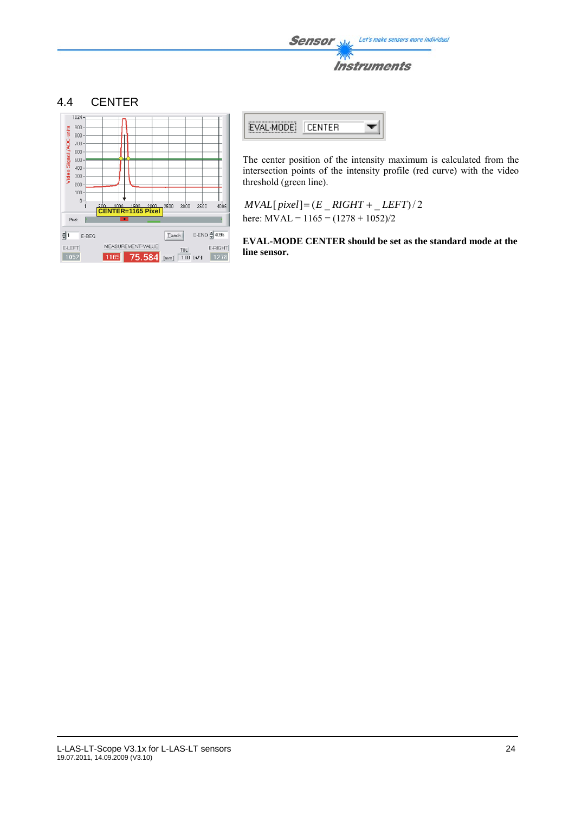#### 4.4 CENTER





The center position of the intensity maximum is calculated from the intersection points of the intensity profile (red curve) with the video threshold (green line).

 $MVAL[pixel] = (E_RIGHT + LEFT)/2$ here:  $MVAL = 1165 = (1278 + 1052)/2$ 

**EVAL-MODE CENTER should be set as the standard mode at the line sensor.**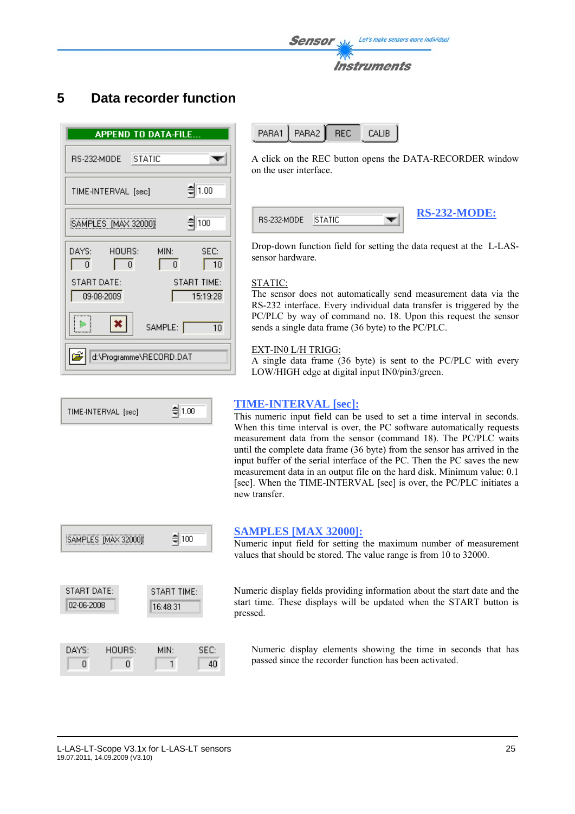# **5 Data recorder function**

| <b>APPEND TO DATA-FILE</b>                                  |
|-------------------------------------------------------------|
| <b>STATIC</b><br>RS-232-MODE                                |
| $= 1.00$<br>TIME-INTERVAL [sec]                             |
| $\frac{4}{3}$ 100<br>SAMPLES [MAX 32000]                    |
| HOURS:<br>MIN:<br>DAYS:<br>SEC:<br>$\Omega$<br>10<br>0<br>0 |
| START DATE:<br><b>START TIME:</b><br>09-08-2009<br>15:19:28 |
| $\pmb{\times}$<br>SAMPLE:  <br>10 <sup>1</sup>              |
| d:\Programme\RECORD.DAT                                     |



A click on the REC button opens the DATA-RECORDER window on the user interface.

| RS-232-MODE | ∏STATIC | <b>RS-232-MODE:</b> |
|-------------|---------|---------------------|
|             |         |                     |

Drop-down function field for setting the data request at the L-LASsensor hardware.

#### STATIC:

The sensor does not automatically send measurement data via the RS-232 interface. Every individual data transfer is triggered by the PC/PLC by way of command no. 18. Upon this request the sensor sends a single data frame (36 byte) to the PC/PLC.

#### EXT-IN0 L/H TRIGG:

A single data frame (36 byte) is sent to the PC/PLC with every LOW/HIGH edge at digital input IN0/pin3/green.

#### **TIME-INTERVAL [sec]:**

This numeric input field can be used to set a time interval in seconds. When this time interval is over, the PC software automatically requests measurement data from the sensor (command 18). The PC/PLC waits until the complete data frame (36 byte) from the sensor has arrived in the input buffer of the serial interface of the PC. Then the PC saves the new measurement data in an output file on the hard disk. Minimum value: 0.1 [sec]. When the TIME-INTERVAL [sec] is over, the PC/PLC initiates a new transfer.



#### **SAMPLES [MAX 32000]:**

Numeric input field for setting the maximum number of measurement values that should be stored. The value range is from 10 to 32000.

Numeric display fields providing information about the start date and the start time. These displays will be updated when the START button is pressed.

Numeric display elements showing the time in seconds that has passed since the recorder function has been activated.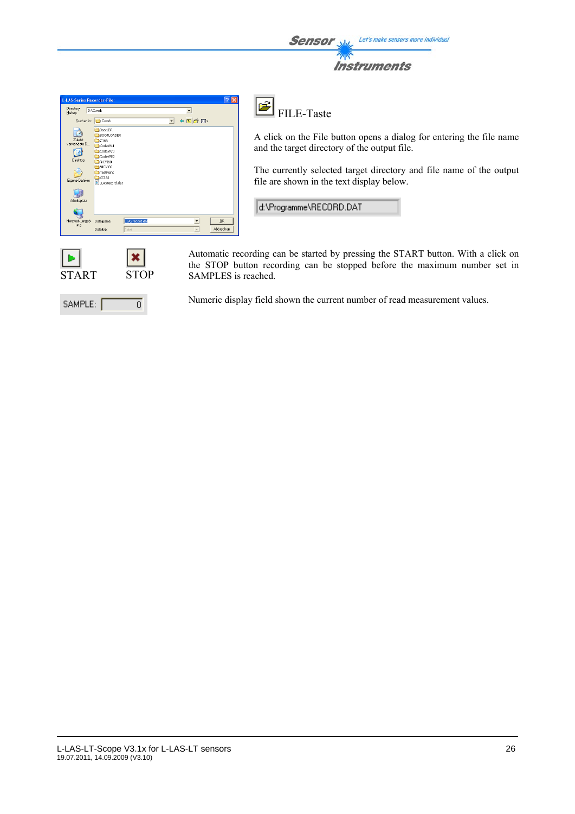| <b>Sensor</b> | Let's make sensors more individual |
|---------------|------------------------------------|
|               | <b>Instruments</b>                 |

| <b>L-LAS-Series Recorder-File:</b>                   |                                                                                                                                                               |                         |                          |                          | 1?II>                                             |
|------------------------------------------------------|---------------------------------------------------------------------------------------------------------------------------------------------------------------|-------------------------|--------------------------|--------------------------|---------------------------------------------------|
| Directory<br>History:                                | D:\Cwork                                                                                                                                                      |                         |                          | $\overline{\phantom{a}}$ |                                                   |
| Suchen in:                                           | Cwork                                                                                                                                                         |                         | $\overline{\phantom{a}}$ | ←自啓囲                     |                                                   |
| Zuletzt<br>verwendete D<br>Desktop<br>Eigene Dateien | BootLDR<br>BOOTLOADER<br>$\bigcap$ C166<br>CodeW41<br>CodeW70<br>CodeW80<br>MiCVI60<br>NICVI80<br>TestPoint<br>$\xrightarrow{\sim}$ XC161<br>PILLASrecord.dat |                         |                          |                          |                                                   |
| Arbeitsplatz                                         |                                                                                                                                                               |                         |                          |                          |                                                   |
| Netzwerkumgeb<br>ung                                 | Dateiname:<br>Dateityp:                                                                                                                                       | LLASrecord.dat<br>teb." |                          | ×<br>$\mathbf{v}$        | <b>OK</b><br>Abbrechen                            |
| START                                                |                                                                                                                                                               | STOP                    |                          |                          | Automatic red<br>the STOP bu<br><b>SAMPLES</b> is |

ō

SAMPLE:

 $\mathbf{F}$ FILE-Taste

A click on the File button opens a dialog for entering the file name and the target directory of the output file.

The currently selected target directory and file name of the output file are shown in the text display below.

d:\Programme\RECORD.DAT

cording can be started by pressing the START button. With a click on tton recording can be stopped before the maximum number set in SAMPLES is reached.

Numeric display field shown the current number of read measurement values.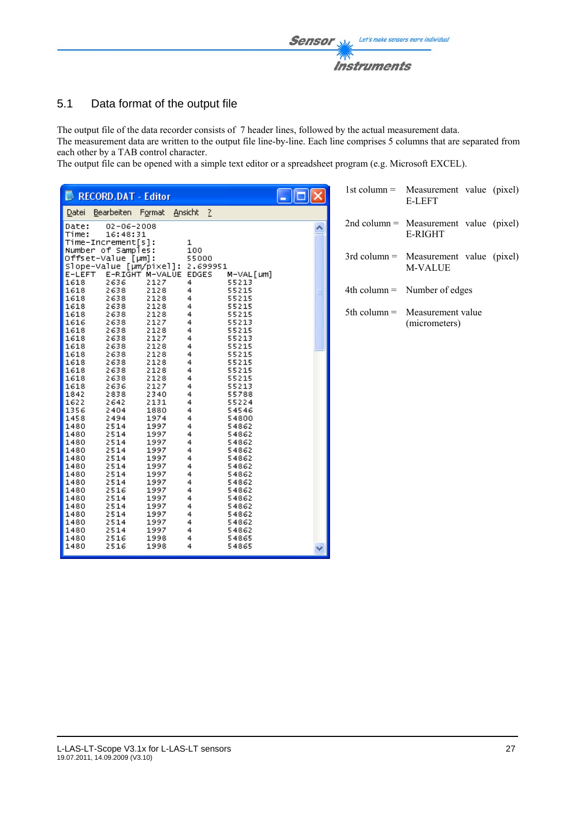

# 5.1 Data format of the output file

The output file of the data recorder consists of 7 header lines, followed by the actual measurement data. The measurement data are written to the output file line-by-line. Each line comprises 5 columns that are separated from each other by a TAB control character.

The output file can be opened with a simple text editor or a spreadsheet program (e.g. Microsoft EXCEL).

| RECORD.DAT - Editor                                                 |                          |   | 1st column $=$ | Measurement value (pixel)<br><b>E-LEFT</b>                 |  |
|---------------------------------------------------------------------|--------------------------|---|----------------|------------------------------------------------------------|--|
| Datei Bearbeiten Format Ansicht ?                                   |                          |   |                |                                                            |  |
| Date:<br>$02 - 06 - 2008$<br>Time:<br>16:48:31                      |                          | ㅅ |                | $2nd$ column = Measurement value (pixel)<br><b>E-RIGHT</b> |  |
| $Time-Increment[s]$ :                                               | 1                        |   |                |                                                            |  |
| Number of Samples:<br>Offset-Value [µm]:                            | 100<br>55000             |   |                | $3rd$ column = Measurement value (pixel)                   |  |
| Slope-Value [µm/pixel]: 2.699951<br>E-RIGHT M-VALUE EDGES<br>E-LEFT |                          |   |                | M-VALUE                                                    |  |
| 1618<br>2636<br>2127                                                | M-VAL [um]<br>55213<br>4 |   |                |                                                            |  |
| 2128<br>1618<br>2638<br>1618<br>2128<br>2638                        | 55215<br>4<br>4<br>55215 |   |                | $4th$ column = Number of edges                             |  |
| 1618<br>2638<br>2128                                                | 55215<br>4               |   | $5th$ column = | Measurement value                                          |  |
| 1618<br>2128<br>2638<br>1616<br>2638<br>2127                        | 4<br>55215<br>4<br>55213 |   |                | (micrometers)                                              |  |
| 1618<br>2128<br>2638                                                | 4<br>55215               |   |                |                                                            |  |
| 1618<br>2127<br>2638<br>1618<br>2128<br>2638                        | 4<br>55213<br>55215<br>4 |   |                |                                                            |  |
| 1618<br>2128<br>2638                                                | 4<br>55215               |   |                |                                                            |  |
| 1618<br>2128<br>2638<br>1618<br>2128<br>2638                        | 4<br>55215<br>4<br>55215 |   |                |                                                            |  |
| 1618<br>2128<br>2638                                                | 4<br>55215               |   |                |                                                            |  |
| 2127<br>1618<br>2636<br>1842<br>2340<br>2838                        | 55213<br>4<br>4<br>55788 |   |                |                                                            |  |
| 1622<br>2131<br>2642                                                | 55224<br>4               |   |                |                                                            |  |
| 1356<br>2404<br>1880<br>1458<br>1974<br>2494                        | 4<br>54546<br>4<br>54800 |   |                |                                                            |  |
| 1480<br>2514<br>1997                                                | 4<br>54862               |   |                |                                                            |  |
| 1480<br>1997<br>2514<br>1480<br>2514<br>1997                        | 4<br>54862<br>4<br>54862 |   |                |                                                            |  |
| 1997<br>1480<br>2514                                                | 4<br>54862               |   |                |                                                            |  |
| 1480<br>2514<br>1997                                                | 4<br>54862               |   |                |                                                            |  |
| 1997<br>1480<br>2514<br>1480<br>1997<br>2514                        | 4<br>54862<br>4<br>54862 |   |                |                                                            |  |
| 2514<br>1997<br>1480                                                | 54862<br>4               |   |                |                                                            |  |
| 1480<br>1997<br>2516<br>1480<br>2514<br>1997                        | 4<br>54862<br>4<br>54862 |   |                |                                                            |  |
| 1480<br>2514<br>1997                                                | 4<br>54862               |   |                |                                                            |  |
| 1480<br>2514<br>1997<br>1997<br>1480                                | 4<br>54862               |   |                |                                                            |  |
| 2514<br>1480<br>2514<br>1997                                        | 4<br>54862<br>4<br>54862 |   |                |                                                            |  |
| 1480<br>2516<br>1998                                                | 54865<br>4               |   |                |                                                            |  |
| 1480<br>2516<br>1998                                                | 4<br>54865               |   |                |                                                            |  |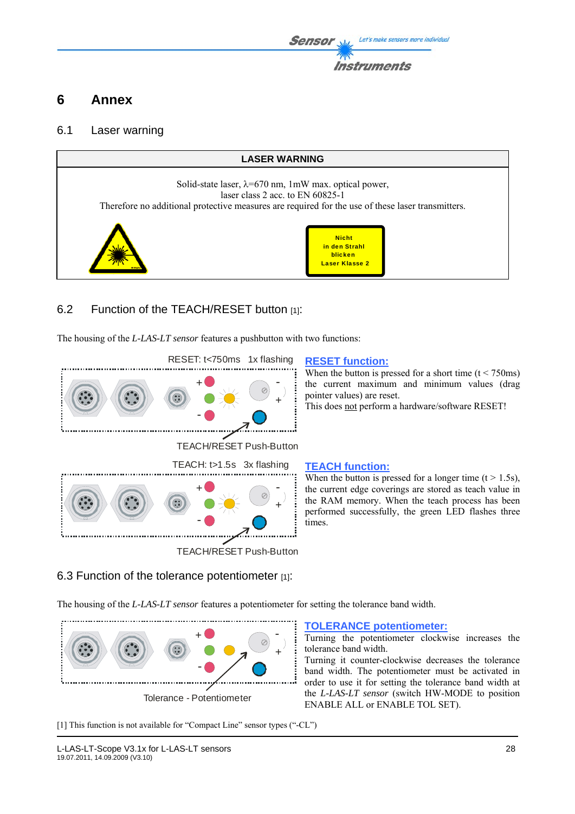# **6 Annex**

## 6.1 Laser warning



# 6.2 Function of the TEACH/RESET button [1]:

The housing of the *L-LAS-LT sensor* features a pushbutton with two functions:



# TEACH/RESET Push-Button

When the button is pressed for a short time  $(t < 750 \text{ms})$ the current maximum and minimum values (drag pointer values) are reset.

This does not perform a hardware/software RESET!

When the button is pressed for a longer time  $(t > 1.5s)$ , the current edge coverings are stored as teach value in the RAM memory. When the teach process has been performed successfully, the green LED flashes three times.

# 6.3 Function of the tolerance potentiometer [1]:

The housing of the *L-LAS-LT sensor* features a potentiometer for setting the tolerance band width.



**TOLERANCE potentiometer:**

Turning the potentiometer clockwise increases the tolerance band width.

Turning it counter-clockwise decreases the tolerance band width. The potentiometer must be activated in order to use it for setting the tolerance band width at the *L-LAS-LT sensor* (switch HW-MODE to position ENABLE ALL or ENABLE TOL SET).

[1] This function is not available for "Compact Line" sensor types ("-CL")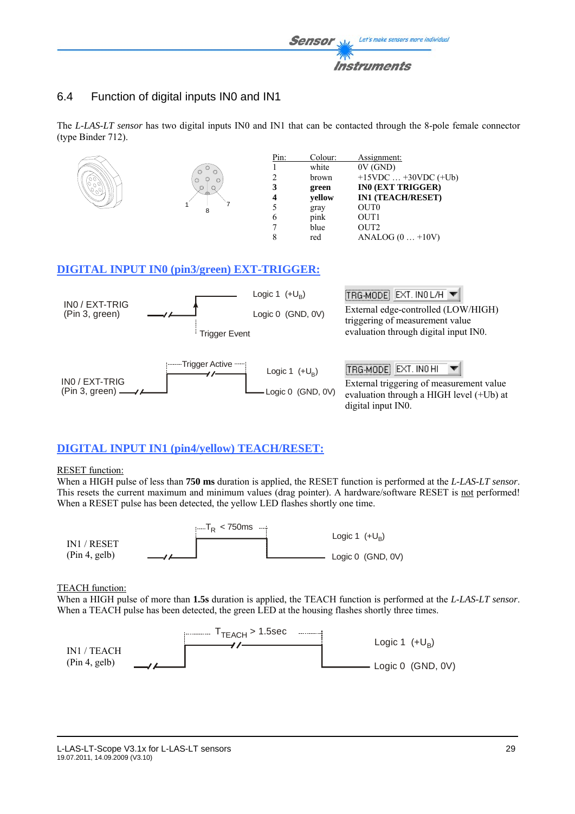

# 6.4 Function of digital inputs IN0 and IN1

The *L-LAS-LT sensor* has two digital inputs IN0 and IN1 that can be contacted through the 8-pole female connector (type Binder 712).



# **DIGITAL INPUT IN1 (pin4/yellow) TEACH/RESET:**

#### RESET function:

When a HIGH pulse of less than **750 ms** duration is applied, the RESET function is performed at the *L-LAS-LT sensor*. This resets the current maximum and minimum values (drag pointer). A hardware/software RESET is not performed! When a RESET pulse has been detected, the yellow LED flashes shortly one time.



#### TEACH function:

When a HIGH pulse of more than **1.5s** duration is applied, the TEACH function is performed at the *L-LAS-LT sensor*. When a TEACH pulse has been detected, the green LED at the housing flashes shortly three times.

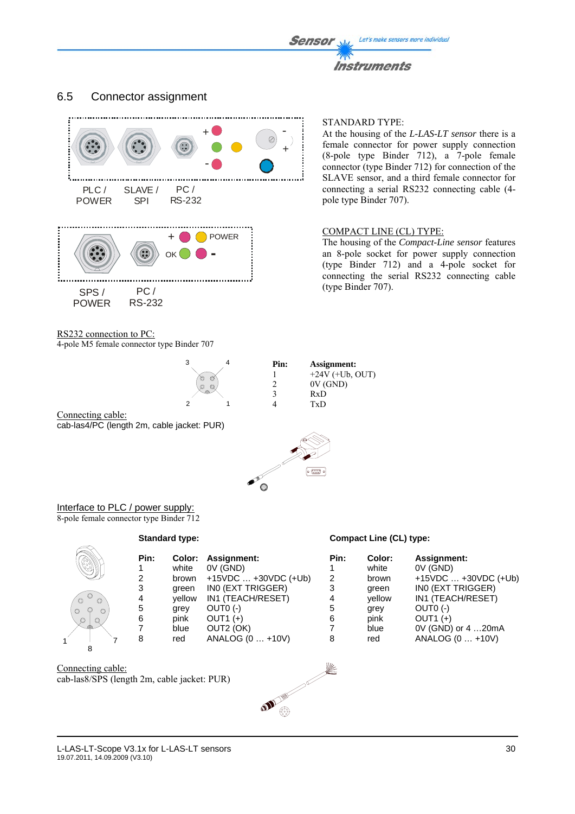#### 6.5 Connector assignment



RS232 connection to PC:

4-pole M5 female connector type Binder 707

#### STANDARD TYPE:

At the housing of the *L-LAS-LT sensor* there is a female connector for power supply connection (8-pole type Binder 712), a 7-pole female connector (type Binder 712) for connection of the SLAVE sensor, and a third female connector for connecting a serial RS232 connecting cable (4 pole type Binder 707).

The housing of the *Compact-Line sensor* features an 8-pole socket for power supply connection (type Binder 712) and a 4-pole socket for connecting the serial RS232 connecting cable (type Binder 707).



Connecting cable: cab-las4/PC (length 2m, cable jacket: PUR)



Interface to PLC / power supply: 8-pole female connector type Binder 712

**Standard type:** 

#### **Compact Line (CL) type:**

|                               | Pin: | Color: | Assignment:            | Pin: | Color: | <b>Assignment:</b>      |
|-------------------------------|------|--------|------------------------|------|--------|-------------------------|
|                               |      | white  | OV (GND)               |      | white  | 0V (GND)                |
|                               | 2    | brown  | $+15VDC  +30VDC (+Ub)$ | 2    | brown  | $+15VDC$ $+30VDC$ (+Ub) |
|                               | 3    | areen  | INO (EXT TRIGGER)      | 3    | green  | INO (EXT TRIGGER)       |
| $\circ$<br>$\circ$<br>$\circ$ | 4    | vellow | IN1 (TEACH/RESET)      | 4    | vellow | IN1 (TEACH/RESET)       |
| $\circ$<br>$\circ$            | 5    | grey   | $OUT0 (-)$             | 5    | grey   | $OUT0 (-)$              |
| $\circledcirc$<br>$\circ$     | 6    | pink   | OUT1 $(+)$             | 6    | pink   | OUT1 $(+)$              |
| $\Delta$                      |      | blue   | OUT2 (OK)              |      | blue   | 0V (GND) or 4 20mA      |
|                               | 8    | red    | ANALOG (0  +10V)       | 8    | red    | ANALOG (0  +10V)        |
|                               |      |        |                        |      |        |                         |

Connecting cable: cab-las8/SPS (length 2m, cable jacket: PUR)

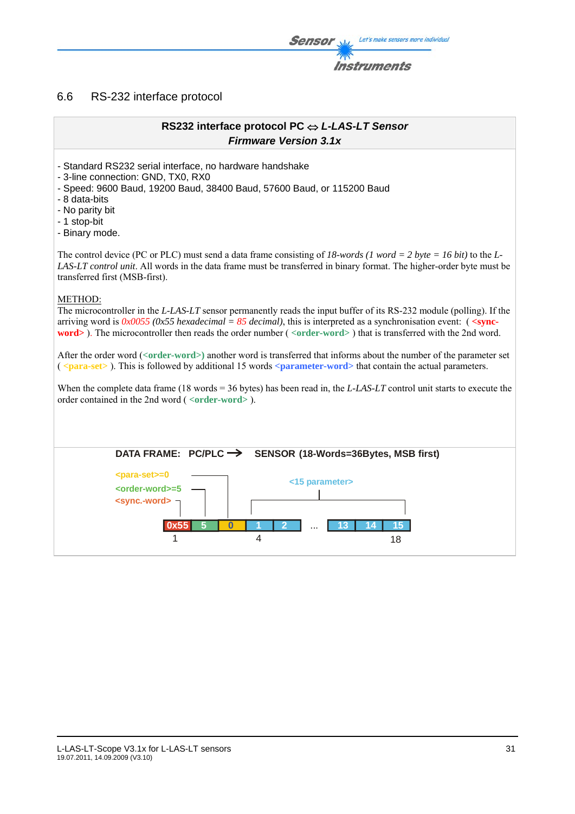#### 6.6 RS-232 interface protocol

# **RS232 interface protocol PC** ⇔ *L-LAS-LT Sensor Firmware Version 3.1x* - Standard RS232 serial interface, no hardware handshake - 3-line connection: GND, TX0, RX0 - Speed: 9600 Baud, 19200 Baud, 38400 Baud, 57600 Baud, or 115200 Baud - 8 data-bits - No parity bit - 1 stop-bit - Binary mode. The control device (PC or PLC) must send a data frame consisting of *18-words (1 word = 2 byte = 16 bit)* to the *L-LAS-LT control unit*. All words in the data frame must be transferred in binary format. The higher-order byte must be transferred first (MSB-first). METHOD: The microcontroller in the *L-LAS-LT* sensor permanently reads the input buffer of its RS-232 module (polling). If the arriving word is *0x0055 (0x55 hexadecimal = 85 decimal)*, this is interpreted as a synchronisation event: ( **<syncword>** ). The microcontroller then reads the order number ( *<***order-word>** ) that is transferred with the 2nd word. After the order word (*<***order-word>)** another word is transferred that informs about the number of the parameter set ( *<***para-set>** ). This is followed by additional 15 words **<parameter-word>** that contain the actual parameters. When the complete data frame (18 words = 36 bytes) has been read in, the *L-LAS-LT* control unit starts to execute the order contained in the 2nd word ( *<***order-word>** ). **<sync.-word>** 0x55 **<order-word>=5 DATA FRAME: PC/PLC**  $\rightarrow$  **SENSOR (18-Words=36Bytes, MSB first) 0 1 2** ... **14 15** 4 18 **13 <para-set>=0 <15 parameter>** 1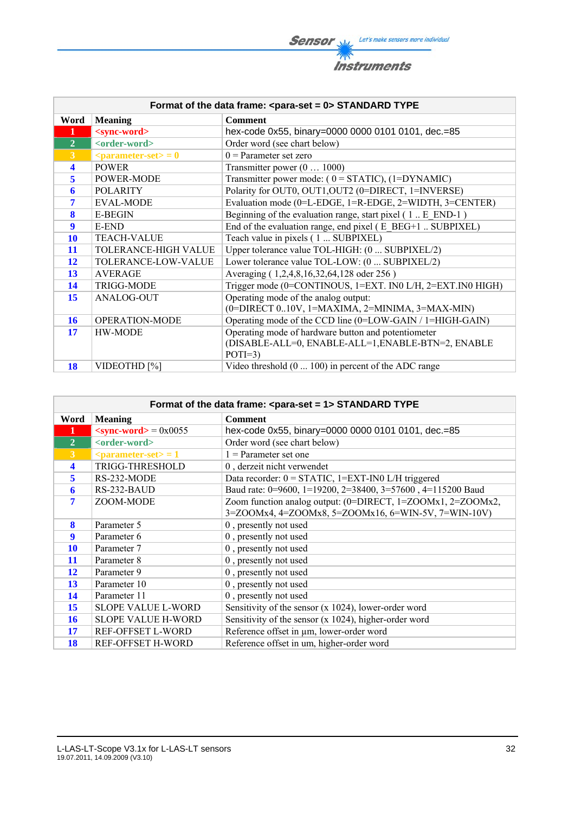**Sensor** Will Let's make sensors more individual 不 **Instruments** 

| Format of the data frame: <para-set 0="" ==""> STANDARD TYPE</para-set> |                                                |                                                                    |  |
|-------------------------------------------------------------------------|------------------------------------------------|--------------------------------------------------------------------|--|
| Word                                                                    | <b>Meaning</b>                                 | <b>Comment</b>                                                     |  |
|                                                                         | <sync-word></sync-word>                        | hex-code 0x55, binary=0000 0000 0101 0101, dec.=85                 |  |
| $\overline{2}$                                                          | <order-word></order-word>                      | Order word (see chart below)                                       |  |
| $\overline{3}$                                                          | $\epsilon$ <parameter-set> = 0</parameter-set> | $0 =$ Parameter set zero                                           |  |
| $\overline{\mathbf{4}}$                                                 | <b>POWER</b>                                   | Transmitter power $(0 \dots 1000)$                                 |  |
| 5                                                                       | POWER-MODE                                     | Transmitter power mode: $(0 = STATIC)$ , $(1 = DYNAMIC)$           |  |
| 6                                                                       | <b>POLARITY</b>                                | Polarity for OUT0, OUT1, OUT2 (0=DIRECT, 1=INVERSE)                |  |
| 7                                                                       | <b>EVAL-MODE</b>                               | Evaluation mode (0=L-EDGE, 1=R-EDGE, 2=WIDTH, 3=CENTER)            |  |
| 8                                                                       | <b>E-BEGIN</b>                                 | Beginning of the evaluation range, start pixel $(1 \dots E$ END-1) |  |
| 9                                                                       | E-END                                          | End of the evaluation range, end pixel (E BEG+1  SUBPIXEL)         |  |
| <b>10</b>                                                               | <b>TEACH-VALUE</b>                             | Teach value in pixels (1  SUBPIXEL)                                |  |
| 11                                                                      | TOLERANCE-HIGH VALUE                           | Upper tolerance value TOL-HIGH: (0  SUBPIXEL/2)                    |  |
| <b>12</b>                                                               | TOLERANCE-LOW-VALUE                            | Lower tolerance value TOL-LOW: (0  SUBPIXEL/2)                     |  |
| 13                                                                      | <b>AVERAGE</b>                                 | Averaging (1,2,4,8,16,32,64,128 oder 256)                          |  |
| 14                                                                      | <b>TRIGG-MODE</b>                              | Trigger mode (0=CONTINOUS, 1=EXT. IN0 L/H, 2=EXT.IN0 HIGH)         |  |
| 15                                                                      | ANALOG-OUT                                     | Operating mode of the analog output:                               |  |
|                                                                         |                                                | (0=DIRECT 010V, 1=MAXIMA, 2=MINIMA, 3=MAX-MIN)                     |  |
| <b>16</b>                                                               | OPERATION-MODE                                 | Operating mode of the CCD line (0=LOW-GAIN / 1=HIGH-GAIN)          |  |
| 17                                                                      | HW-MODE                                        | Operating mode of hardware button and potentiometer                |  |
|                                                                         |                                                | (DISABLE-ALL=0, ENABLE-ALL=1, ENABLE-BTN=2, ENABLE                 |  |
|                                                                         |                                                | $POTI=3$                                                           |  |
| 18                                                                      | VIDEOTHD [%]                                   | Video threshold $(0 \dots 100)$ in percent of the ADC range        |  |

|                      | Format of the data frame: <para-set 1="" ==""> STANDARD TYPE</para-set> |                                                              |  |  |
|----------------------|-------------------------------------------------------------------------|--------------------------------------------------------------|--|--|
| Word                 | <b>Meaning</b>                                                          | <b>Comment</b>                                               |  |  |
| 1                    | $\le$ sync-word $>$ = 0x0055                                            | hex-code 0x55, binary=0000 0000 0101 0101, dec.=85           |  |  |
| $\overline{2}$       | <order-word></order-word>                                               | Order word (see chart below)                                 |  |  |
| $\mathbf{3}$         | $\epsilon$ <parameter-set> = 1</parameter-set>                          | $1$ = Parameter set one                                      |  |  |
| $\blacktriangleleft$ | TRIGG-THRESHOLD                                                         | 0, derzeit nicht verwendet                                   |  |  |
| 5                    | RS-232-MODE                                                             | Data recorder: $0 = \text{STATIC}$ , 1=EXT-IN0 L/H triggered |  |  |
| 6                    | RS-232-BAUD                                                             | Baud rate: 0=9600, 1=19200, 2=38400, 3=57600, 4=115200 Baud  |  |  |
| 7                    | ZOOM-MODE                                                               | Zoom function analog output: (0=DIRECT, 1=ZOOMx1, 2=ZOOMx2,  |  |  |
|                      |                                                                         | 3=ZOOMx4, 4=ZOOMx8, 5=ZOOMx16, 6=WIN-5V, 7=WIN-10V)          |  |  |
| 8                    | Parameter 5                                                             | 0, presently not used                                        |  |  |
| 9                    | Parameter 6                                                             | 0, presently not used                                        |  |  |
| <b>10</b>            | Parameter 7                                                             | 0, presently not used                                        |  |  |
| 11                   | Parameter 8                                                             | 0, presently not used                                        |  |  |
| 12                   | Parameter 9                                                             | 0, presently not used                                        |  |  |
| 13                   | Parameter 10                                                            | 0, presently not used                                        |  |  |
| 14                   | Parameter 11                                                            | 0, presently not used                                        |  |  |
| 15                   | <b>SLOPE VALUE L-WORD</b>                                               | Sensitivity of the sensor $(x 1024)$ , lower-order word      |  |  |
| <b>16</b>            | <b>SLOPE VALUE H-WORD</b>                                               | Sensitivity of the sensor $(x 1024)$ , higher-order word     |  |  |
| 17                   | REF-OFFSET L-WORD                                                       | Reference offset in µm, lower-order word                     |  |  |
| 18                   | <b>REF-OFFSET H-WORD</b>                                                | Reference offset in um, higher-order word                    |  |  |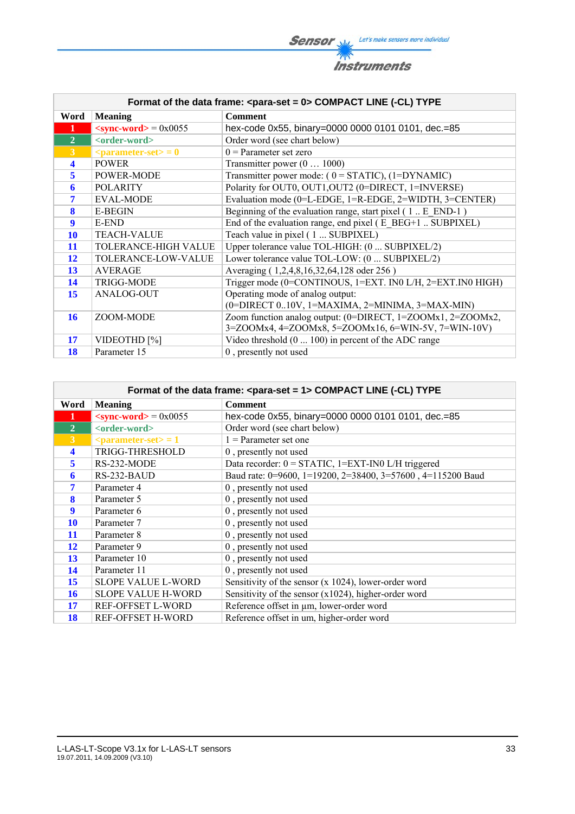**Sensor** Willy Let's make sensors more individual 不 **Instruments** 

|                      | Format of the data frame: <para-set 0="" ==""> COMPACT LINE (-CL) TYPE</para-set> |                                                             |  |  |
|----------------------|-----------------------------------------------------------------------------------|-------------------------------------------------------------|--|--|
| Word                 | <b>Meaning</b>                                                                    | <b>Comment</b>                                              |  |  |
| 1                    | $\langle$ sync-word $\rangle$ = 0x0055                                            | hex-code 0x55, binary=0000 0000 0101 0101, dec.=85          |  |  |
| $\overline{2}$       | <order-word></order-word>                                                         | Order word (see chart below)                                |  |  |
| $\overline{3}$       | $\epsilon$ = 0                                                                    | $0 =$ Parameter set zero                                    |  |  |
| $\blacktriangleleft$ | <b>POWER</b>                                                                      | Transmitter power $(0 \dots 1000)$                          |  |  |
| $\overline{5}$       | POWER-MODE                                                                        | Transmitter power mode: $(0 = STATIC)$ , $(1 = DYNAMIC)$    |  |  |
| 6                    | <b>POLARITY</b>                                                                   | Polarity for OUT0, OUT1, OUT2 (0=DIRECT, 1=INVERSE)         |  |  |
| 7                    | <b>EVAL-MODE</b>                                                                  | Evaluation mode (0=L-EDGE, 1=R-EDGE, 2=WIDTH, 3=CENTER)     |  |  |
| 8                    | <b>E-BEGIN</b>                                                                    | Beginning of the evaluation range, start pixel (1. E END-1) |  |  |
| $\boldsymbol{9}$     | E-END                                                                             | End of the evaluation range, end pixel (E BEG+1  SUBPIXEL)  |  |  |
| <b>10</b>            | <b>TEACH-VALUE</b>                                                                | Teach value in pixel (1  SUBPIXEL)                          |  |  |
| 11                   | TOLERANCE-HIGH VALUE                                                              | Upper tolerance value TOL-HIGH: (0  SUBPIXEL/2)             |  |  |
| <b>12</b>            | TOLERANCE-LOW-VALUE                                                               | Lower tolerance value TOL-LOW: (0  SUBPIXEL/2)              |  |  |
| <b>13</b>            | <b>AVERAGE</b>                                                                    | Averaging (1,2,4,8,16,32,64,128 oder 256)                   |  |  |
| 14                   | <b>TRIGG-MODE</b>                                                                 | Trigger mode (0=CONTINOUS, 1=EXT. IN0 L/H, 2=EXT.IN0 HIGH)  |  |  |
| 15                   | ANALOG-OUT                                                                        | Operating mode of analog output:                            |  |  |
|                      |                                                                                   | (0=DIRECT 010V, 1=MAXIMA, 2=MINIMA, 3=MAX-MIN)              |  |  |
| 16                   | ZOOM-MODE                                                                         | Zoom function analog output: (0=DIRECT, 1=ZOOMx1, 2=ZOOMx2, |  |  |
|                      |                                                                                   | 3=ZOOMx4, 4=ZOOMx8, 5=ZOOMx16, 6=WIN-5V, 7=WIN-10V)         |  |  |
| 17                   | VIDEOTHD <sup>[%]</sup>                                                           | Video threshold $(0 \dots 100)$ in percent of the ADC range |  |  |
| 18                   | Parameter 15                                                                      | 0, presently not used                                       |  |  |

|                      | Format of the data frame: < para-set = 1> COMPACT LINE (-CL) TYPE |                                                              |  |  |
|----------------------|-------------------------------------------------------------------|--------------------------------------------------------------|--|--|
| Word                 | <b>Meaning</b>                                                    | <b>Comment</b>                                               |  |  |
| $\mathbf{1}$         | $\langle$ sync-word $\rangle$ = 0x0055                            | hex-code 0x55, binary=0000 0000 0101 0101, dec.=85           |  |  |
| $\overline{2}$       | <order-word></order-word>                                         | Order word (see chart below)                                 |  |  |
| 3 <sup>1</sup>       | $\epsilon$ <parameter-set> = 1</parameter-set>                    | $1$ = Parameter set one                                      |  |  |
| $\blacktriangleleft$ | TRIGG-THRESHOLD                                                   | 0, presently not used                                        |  |  |
| $\overline{5}$       | RS-232-MODE                                                       | Data recorder: $0 = \text{STATIC}$ , 1=EXT-IN0 L/H triggered |  |  |
| 6                    | RS-232-BAUD                                                       | Baud rate: 0=9600, 1=19200, 2=38400, 3=57600, 4=115200 Baud  |  |  |
| 7                    | Parameter 4                                                       | 0, presently not used                                        |  |  |
| 8                    | Parameter 5                                                       | 0, presently not used                                        |  |  |
| 9                    | Parameter 6                                                       | 0, presently not used                                        |  |  |
| 10                   | Parameter 7                                                       | 0, presently not used                                        |  |  |
| 11                   | Parameter 8                                                       | 0, presently not used                                        |  |  |
| 12                   | Parameter 9                                                       | 0, presently not used                                        |  |  |
| 13                   | Parameter 10                                                      | 0, presently not used                                        |  |  |
| 14                   | Parameter 11                                                      | 0, presently not used                                        |  |  |
| 15                   | <b>SLOPE VALUE L-WORD</b>                                         | Sensitivity of the sensor $(x 1024)$ , lower-order word      |  |  |
| 16                   | <b>SLOPE VALUE H-WORD</b>                                         | Sensitivity of the sensor $(x1024)$ , higher-order word      |  |  |
| 17                   | REF-OFFSET L-WORD                                                 | Reference offset in µm, lower-order word                     |  |  |
| 18                   | REF-OFFSET H-WORD                                                 | Reference offset in um, higher-order word                    |  |  |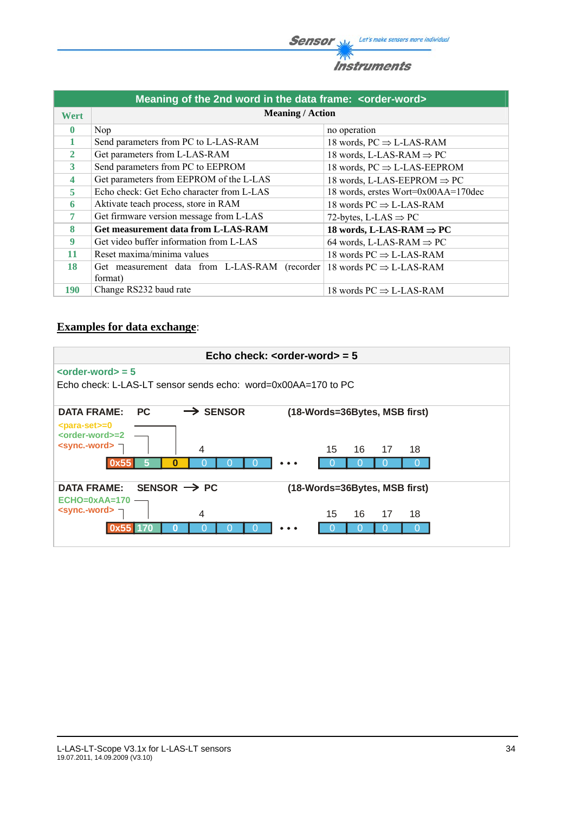**Sensor** W/<sub>2</sub> Let's make sensors more individual 不



| Meaning of the 2nd word in the data frame: <order-word></order-word> |                                               |                                         |  |  |
|----------------------------------------------------------------------|-----------------------------------------------|-----------------------------------------|--|--|
| Wert                                                                 | <b>Meaning / Action</b>                       |                                         |  |  |
| $\mathbf{0}$                                                         | Nop.                                          | no operation                            |  |  |
| 1                                                                    | Send parameters from PC to L-LAS-RAM          | 18 words, $PC \Rightarrow$ L-LAS-RAM    |  |  |
| $\overline{2}$                                                       | Get parameters from L-LAS-RAM                 | 18 words, L-LAS-RAM $\Rightarrow$ PC    |  |  |
| 3                                                                    | Send parameters from PC to EEPROM             | 18 words, $PC \Rightarrow$ L-LAS-EEPROM |  |  |
| $\overline{\mathbf{4}}$                                              | Get parameters from EEPROM of the L-LAS       | 18 words, L-LAS-EEPROM $\Rightarrow$ PC |  |  |
| 5                                                                    | Echo check: Get Echo character from L-LAS     | 18 words, erstes Wort=0x00AA=170dec     |  |  |
| 6                                                                    | Aktivate teach process, store in RAM          | 18 words $PC \Rightarrow$ L-LAS-RAM     |  |  |
| 7                                                                    | Get firmware version message from L-LAS       | 72-bytes, L-LAS $\Rightarrow$ PC        |  |  |
| 8                                                                    | Get measurement data from L-LAS-RAM           | 18 words, L-LAS-RAM $\Rightarrow$ PC    |  |  |
| 9                                                                    | Get video buffer information from L-LAS       | 64 words, L-LAS-RAM $\Rightarrow$ PC    |  |  |
| 11                                                                   | Reset maxima/minima values                    | 18 words $PC \Rightarrow$ L-LAS-RAM     |  |  |
| 18                                                                   | Get measurement data from L-LAS-RAM (recorder | 18 words $PC \Rightarrow$ L-LAS-RAM     |  |  |
|                                                                      | format)                                       |                                         |  |  |
| <b>190</b>                                                           | Change RS232 baud rate                        | 18 words $PC \Rightarrow$ L-LAS-RAM     |  |  |

# **Examples for data exchange**:

|                                                                    |                         | Echo check: $\leq$ order-word $>$ = 5 |
|--------------------------------------------------------------------|-------------------------|---------------------------------------|
| $\left\langle \text{order-word}\right\rangle =5$                   |                         |                                       |
| Echo check: L-LAS-LT sensor sends echo: word= $0x00AA = 170$ to PC |                         |                                       |
| <b>DATA FRAME:</b><br><b>PC</b>                                    | $\rightarrow$ SENSOR    | (18-Words=36Bytes, MSB first)         |
| $<$ para-set $> = 0$<br><order-word>=2</order-word>                |                         |                                       |
| $\le$ sync.-word> $\neg$                                           | 4                       | 15<br>16<br>17<br>18                  |
| 0x5                                                                | o                       |                                       |
| <b>DATA FRAME:</b>                                                 | SENSOR $\rightarrow$ PC | (18-Words=36Bytes, MSB first)         |
| $ECHO=0xAA=170$                                                    |                         |                                       |
| $\le$ sync.-word> $\neg$                                           | 4                       | 16<br>15<br>17<br>18                  |
|                                                                    |                         |                                       |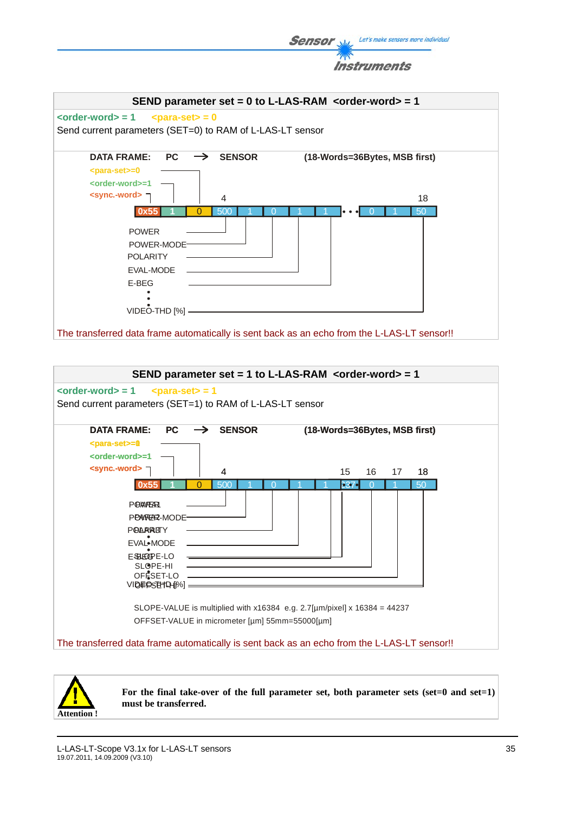Let's make sensors more individual **Sensor** 

**Instruments** 



The transferred data frame automatically is sent back as an echo from the L-LAS-LT sensor!!

|                                                                                                              | SEND parameter set = 1 to L-LAS-RAM < $order-word$ = 1                                                                                                |
|--------------------------------------------------------------------------------------------------------------|-------------------------------------------------------------------------------------------------------------------------------------------------------|
| $\left\langle \text{order-word}\right\rangle =1$                                                             | $<$ para-set $>$ = 1<br>Send current parameters (SET=1) to RAM of L-LAS-LT sensor                                                                     |
| <b>DATA FRAME:</b><br>PC.<br><para-set>=0<br/><order-word>=1</order-word></para-set>                         | <b>SENSOR</b><br>(18-Words=36Bytes, MSB first)                                                                                                        |
| <sync.-word> コ</sync.-word>                                                                                  | 15<br>16<br>18<br>4<br>17                                                                                                                             |
| <b>POWFFAR</b><br>PONRER-MODE-<br><b>POARRITY</b><br><b>EVAL*MODE</b><br>FSHEOPE-LO<br>SLOPE-HI<br>OFESET-LO | 500<br>50<br>O<br>337<br>SLOPE-VALUE is multiplied with $x16384$ e.g. 2.7[µm/pixel] x 16384 = 44237<br>OFFSET-VALUE in micrometer [µm] 55mm=55000[µm] |
|                                                                                                              | The transferred data frame automatically is sent back as an echo from the L-LAS-LT sensor!!                                                           |



For the final take-over of the full parameter set, both parameter sets (set=0 and set=1) **must be transferred.**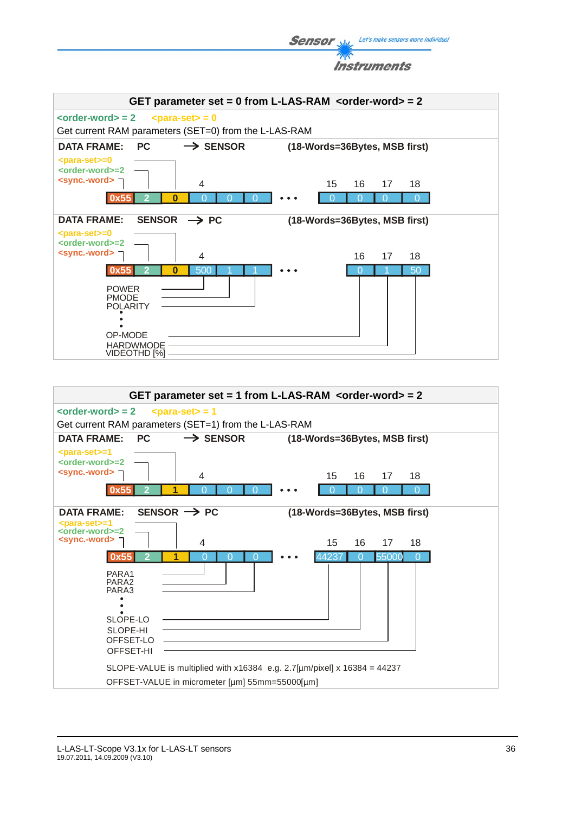**Sensor** Well, Let's make sensors more individual





![](_page_35_Figure_3.jpeg)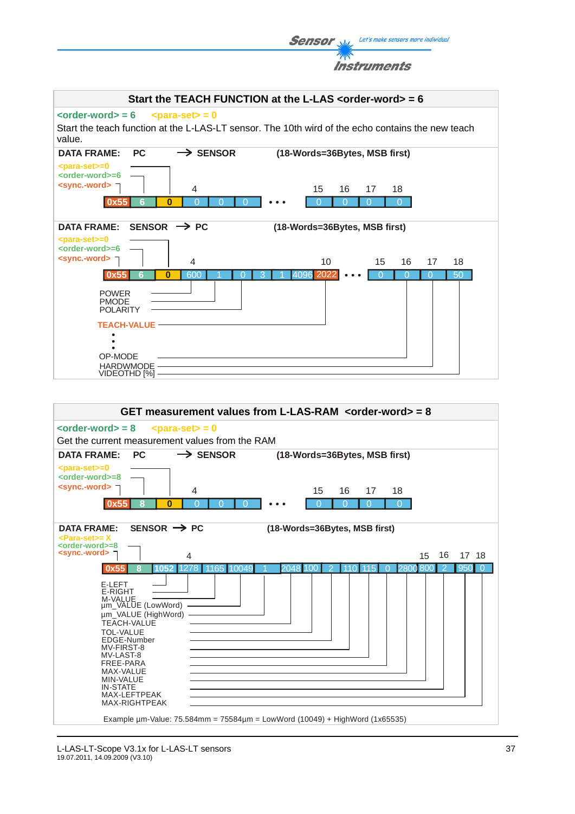|  | <b>Sensor</b> $\mathcal{L}$ Let's make sensors more individual |
|--|----------------------------------------------------------------|
|  | <i><b>Instruments</b></i>                                      |

![](_page_36_Figure_1.jpeg)

![](_page_36_Figure_2.jpeg)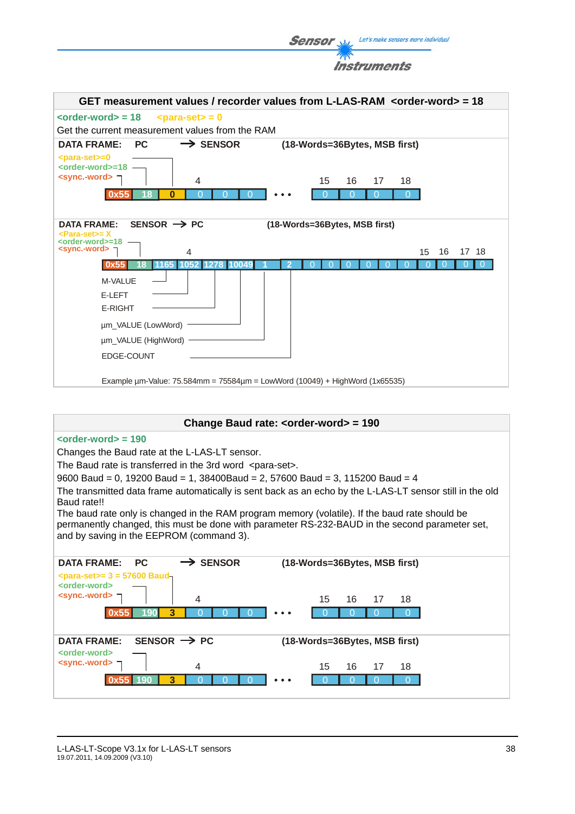**Sensor** Willy Let's make sensors more individual 不 **Instruments** 

| GET measurement values / recorder values from L-LAS-RAM <order-word> = 18</order-word>                                  |
|-------------------------------------------------------------------------------------------------------------------------|
| $\left\langle \text{order-word} \right\rangle = 18$<br>$<$ para-set $>$ = 0                                             |
| Get the current measurement values from the RAM                                                                         |
| $\rightarrow$ SENSOR<br><b>PC</b><br>(18-Words=36Bytes, MSB first)<br><b>DATA FRAME:</b>                                |
| <para-set>=0</para-set>                                                                                                 |
| <order-word>=18 -<br/><sync.-word></sync.-word></order-word>                                                            |
| 15<br>18<br>4<br>16<br>17<br>$\Omega$<br>18<br>0<br>O<br>O<br>O<br>Ω<br>O<br>0x55                                       |
|                                                                                                                         |
| SENSOR $\rightarrow$ PC<br>(18-Words=36Bytes, MSB first)<br><b>DATA FRAME:</b>                                          |
| <para-set>= X<br/><order-word>=18</order-word></para-set>                                                               |
| <sync.-word><br/>16<br/>17 18<br/>4<br/>15</sync.-word>                                                                 |
| 1278<br>O<br>O<br>1165<br>1052<br>10049<br>0x55                                                                         |
| M-VALUE                                                                                                                 |
| E-LEFT                                                                                                                  |
| <b>E-RIGHT</b>                                                                                                          |
| µm_VALUE (LowWord)                                                                                                      |
| um_VALUE (HighWord)                                                                                                     |
| EDGE-COUNT                                                                                                              |
|                                                                                                                         |
| Example um-Value: 75.584mm = 75584um = LowWord (10049) + HighWord (1x65535)                                             |
|                                                                                                                         |
|                                                                                                                         |
| Change Baud rate: < order-word> = 190                                                                                   |
| $\leftarrow$ corder-word $\leftarrow$ = 190                                                                             |
| Changes the Baud rate at the L-LAS-LT sensor.                                                                           |
| The Baud rate is transferred in the 3rd word <para-set>.</para-set>                                                     |
| 9600 Baud = 0, 19200 Baud = 1, 38400Baud = 2, 57600 Baud = 3, 115200 Baud = 4                                           |
| The transmitted data frame automatically is sent back as an echo by the L-LAS-LT sensor still in the old<br>Baud rate!! |
| The baud rate only is changed in the RAM program memory (volatile). If the baud rate should be                          |
| permanently changed, this must be done with parameter RS-232-BAUD in the second parameter set,                          |
| and by saving in the EEPROM (command 3).                                                                                |
| $\rightarrow$ SENSOR                                                                                                    |
| (18-Words=36Bytes, MSB first)<br><b>DATA FRAME:</b><br><b>PC</b><br>$\epsilon$ para-set>= 3 = 57600 Baud-               |
| <order-word></order-word>                                                                                               |
| <sync.-word><br/>15<br/>18<br/>4<br/>16<br/>17</sync.-word>                                                             |
| $\Omega$<br>0x55<br>190<br>3<br>0<br>$\Omega$<br>$\Omega$<br>O<br>0                                                     |
|                                                                                                                         |
| SENSOR $\rightarrow$ PC<br>(18-Words=36Bytes, MSB first)<br><b>DATA FRAME:</b>                                          |
| <order-word></order-word>                                                                                               |
| <sync.-word><br/>15<br/>18<br/>4<br/>16<br/>17</sync.-word>                                                             |
| 0x55<br>190<br>3<br>$\Omega$<br>$\overline{0}$<br>$\Omega$<br>$\Omega$<br>$\Omega$<br>$\Omega$<br>$\Omega$              |